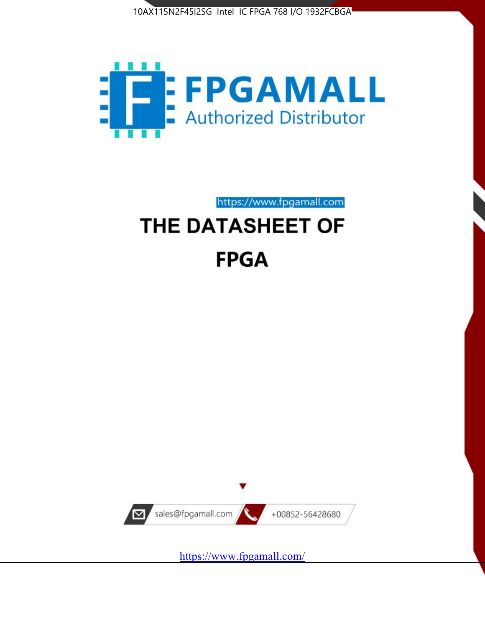



https://www.fpgamall.com

# THE DATASHEET OF **FPGA**



<https://www.fpgamall.com/>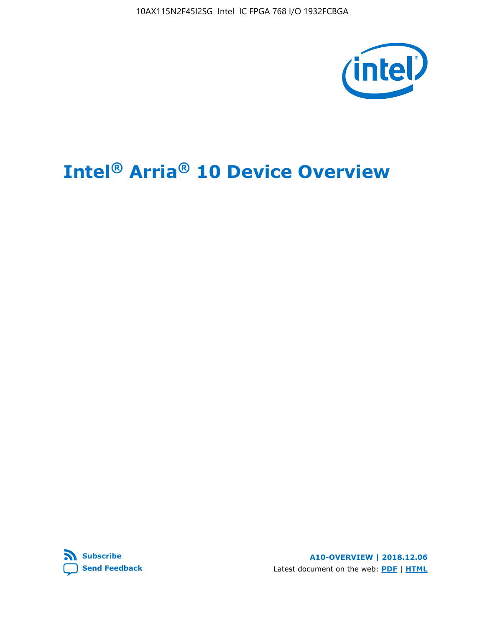10AX115N2F45I2SG Intel IC FPGA 768 I/O 1932FCBGA



# **Intel® Arria® 10 Device Overview**



**A10-OVERVIEW | 2018.12.06** Latest document on the web: **[PDF](https://www.intel.com/content/dam/www/programmable/us/en/pdfs/literature/hb/arria-10/a10_overview.pdf)** | **[HTML](https://www.intel.com/content/www/us/en/programmable/documentation/sam1403480274650.html)**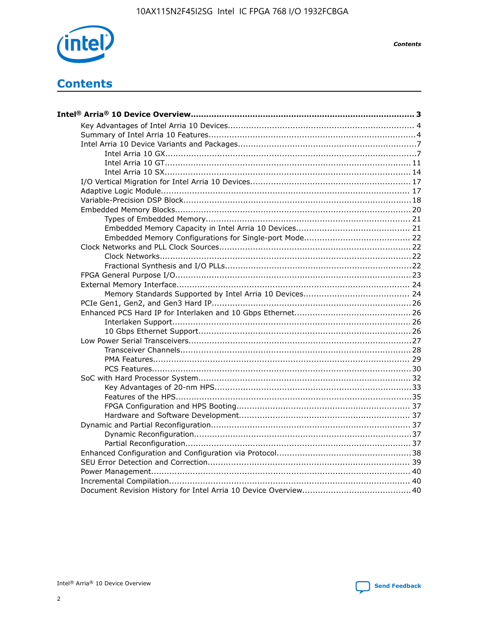

**Contents** 

## **Contents**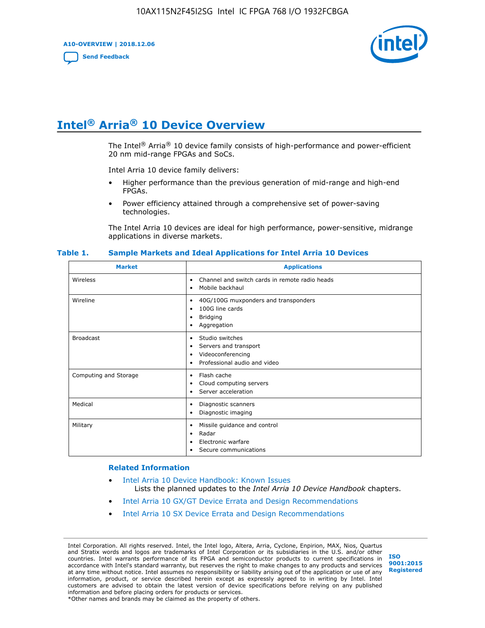**A10-OVERVIEW | 2018.12.06**

**[Send Feedback](mailto:FPGAtechdocfeedback@intel.com?subject=Feedback%20on%20Intel%20Arria%2010%20Device%20Overview%20(A10-OVERVIEW%202018.12.06)&body=We%20appreciate%20your%20feedback.%20In%20your%20comments,%20also%20specify%20the%20page%20number%20or%20paragraph.%20Thank%20you.)**



## **Intel® Arria® 10 Device Overview**

The Intel<sup>®</sup> Arria<sup>®</sup> 10 device family consists of high-performance and power-efficient 20 nm mid-range FPGAs and SoCs.

Intel Arria 10 device family delivers:

- Higher performance than the previous generation of mid-range and high-end FPGAs.
- Power efficiency attained through a comprehensive set of power-saving technologies.

The Intel Arria 10 devices are ideal for high performance, power-sensitive, midrange applications in diverse markets.

| <b>Market</b>         | <b>Applications</b>                                                                                               |
|-----------------------|-------------------------------------------------------------------------------------------------------------------|
| Wireless              | Channel and switch cards in remote radio heads<br>٠<br>Mobile backhaul<br>٠                                       |
| Wireline              | 40G/100G muxponders and transponders<br>٠<br>100G line cards<br>٠<br><b>Bridging</b><br>٠<br>Aggregation<br>٠     |
| <b>Broadcast</b>      | Studio switches<br>٠<br>Servers and transport<br>٠<br>Videoconferencing<br>٠<br>Professional audio and video<br>٠ |
| Computing and Storage | Flash cache<br>٠<br>Cloud computing servers<br>٠<br>Server acceleration<br>٠                                      |
| Medical               | Diagnostic scanners<br>٠<br>Diagnostic imaging<br>٠                                                               |
| Military              | Missile guidance and control<br>٠<br>Radar<br>٠<br>Electronic warfare<br>٠<br>Secure communications<br>٠          |

#### **Table 1. Sample Markets and Ideal Applications for Intel Arria 10 Devices**

#### **Related Information**

- [Intel Arria 10 Device Handbook: Known Issues](http://www.altera.com/support/kdb/solutions/rd07302013_646.html) Lists the planned updates to the *Intel Arria 10 Device Handbook* chapters.
- [Intel Arria 10 GX/GT Device Errata and Design Recommendations](https://www.intel.com/content/www/us/en/programmable/documentation/agz1493851706374.html#yqz1494433888646)
- [Intel Arria 10 SX Device Errata and Design Recommendations](https://www.intel.com/content/www/us/en/programmable/documentation/cru1462832385668.html#cru1462832558642)

Intel Corporation. All rights reserved. Intel, the Intel logo, Altera, Arria, Cyclone, Enpirion, MAX, Nios, Quartus and Stratix words and logos are trademarks of Intel Corporation or its subsidiaries in the U.S. and/or other countries. Intel warrants performance of its FPGA and semiconductor products to current specifications in accordance with Intel's standard warranty, but reserves the right to make changes to any products and services at any time without notice. Intel assumes no responsibility or liability arising out of the application or use of any information, product, or service described herein except as expressly agreed to in writing by Intel. Intel customers are advised to obtain the latest version of device specifications before relying on any published information and before placing orders for products or services. \*Other names and brands may be claimed as the property of others.

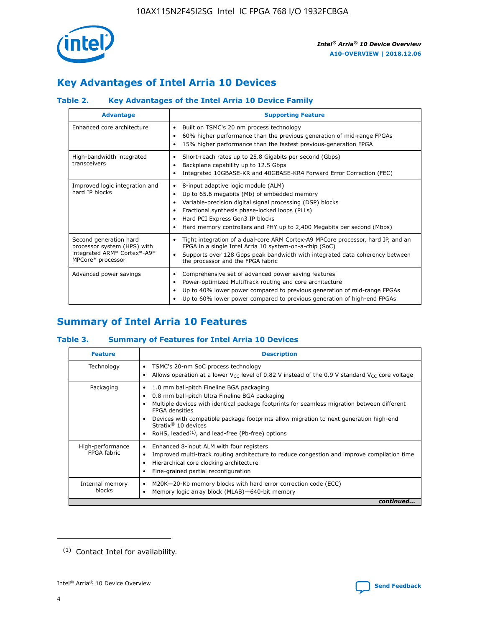

### **Key Advantages of Intel Arria 10 Devices**

### **Table 2. Key Advantages of the Intel Arria 10 Device Family**

| <b>Advantage</b>                                                                                          | <b>Supporting Feature</b>                                                                                                                                                                                                                                                                                                |
|-----------------------------------------------------------------------------------------------------------|--------------------------------------------------------------------------------------------------------------------------------------------------------------------------------------------------------------------------------------------------------------------------------------------------------------------------|
| Enhanced core architecture                                                                                | Built on TSMC's 20 nm process technology<br>٠<br>60% higher performance than the previous generation of mid-range FPGAs<br>٠<br>15% higher performance than the fastest previous-generation FPGA<br>٠                                                                                                                    |
| High-bandwidth integrated<br>transceivers                                                                 | Short-reach rates up to 25.8 Gigabits per second (Gbps)<br>٠<br>Backplane capability up to 12.5 Gbps<br>٠<br>Integrated 10GBASE-KR and 40GBASE-KR4 Forward Error Correction (FEC)<br>٠                                                                                                                                   |
| Improved logic integration and<br>hard IP blocks                                                          | 8-input adaptive logic module (ALM)<br>٠<br>Up to 65.6 megabits (Mb) of embedded memory<br>٠<br>Variable-precision digital signal processing (DSP) blocks<br>Fractional synthesis phase-locked loops (PLLs)<br>Hard PCI Express Gen3 IP blocks<br>Hard memory controllers and PHY up to 2,400 Megabits per second (Mbps) |
| Second generation hard<br>processor system (HPS) with<br>integrated ARM* Cortex*-A9*<br>MPCore* processor | Tight integration of a dual-core ARM Cortex-A9 MPCore processor, hard IP, and an<br>٠<br>FPGA in a single Intel Arria 10 system-on-a-chip (SoC)<br>Supports over 128 Gbps peak bandwidth with integrated data coherency between<br>$\bullet$<br>the processor and the FPGA fabric                                        |
| Advanced power savings                                                                                    | Comprehensive set of advanced power saving features<br>٠<br>Power-optimized MultiTrack routing and core architecture<br>٠<br>Up to 40% lower power compared to previous generation of mid-range FPGAs<br>Up to 60% lower power compared to previous generation of high-end FPGAs                                         |

### **Summary of Intel Arria 10 Features**

### **Table 3. Summary of Features for Intel Arria 10 Devices**

| <b>Feature</b>                  | <b>Description</b>                                                                                                                                                                                                                                                                                                                                                                                       |
|---------------------------------|----------------------------------------------------------------------------------------------------------------------------------------------------------------------------------------------------------------------------------------------------------------------------------------------------------------------------------------------------------------------------------------------------------|
| Technology                      | TSMC's 20-nm SoC process technology<br>٠<br>Allows operation at a lower $V_{\text{CC}}$ level of 0.82 V instead of the 0.9 V standard $V_{\text{CC}}$ core voltage                                                                                                                                                                                                                                       |
| Packaging                       | 1.0 mm ball-pitch Fineline BGA packaging<br>0.8 mm ball-pitch Ultra Fineline BGA packaging<br>Multiple devices with identical package footprints for seamless migration between different<br><b>FPGA</b> densities<br>Devices with compatible package footprints allow migration to next generation high-end<br>Stratix $\mathcal{R}$ 10 devices<br>RoHS, leaded $(1)$ , and lead-free (Pb-free) options |
| High-performance<br>FPGA fabric | Enhanced 8-input ALM with four registers<br>٠<br>Improved multi-track routing architecture to reduce congestion and improve compilation time<br>Hierarchical core clocking architecture<br>Fine-grained partial reconfiguration                                                                                                                                                                          |
| Internal memory<br>blocks       | M20K-20-Kb memory blocks with hard error correction code (ECC)<br>Memory logic array block (MLAB)-640-bit memory                                                                                                                                                                                                                                                                                         |
|                                 | continued                                                                                                                                                                                                                                                                                                                                                                                                |



<sup>(1)</sup> Contact Intel for availability.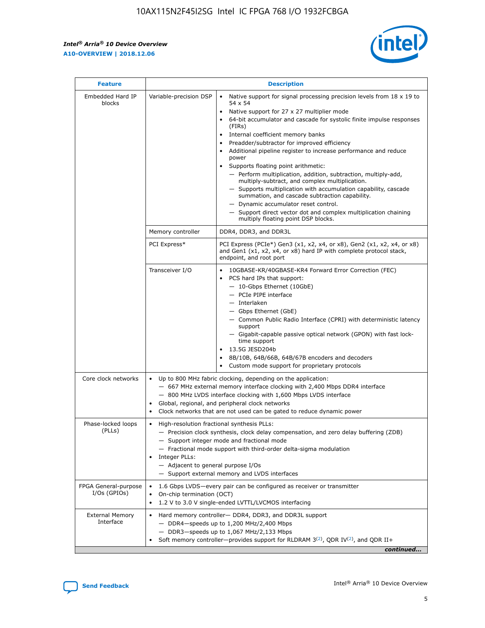r



| <b>Feature</b>                         | <b>Description</b>                                                                                             |                                                                                                                                                                                                                                                                                                                                                                                                                                                                                                                                                                                                                                                                                                                                                                                                                                                                  |  |  |  |  |  |
|----------------------------------------|----------------------------------------------------------------------------------------------------------------|------------------------------------------------------------------------------------------------------------------------------------------------------------------------------------------------------------------------------------------------------------------------------------------------------------------------------------------------------------------------------------------------------------------------------------------------------------------------------------------------------------------------------------------------------------------------------------------------------------------------------------------------------------------------------------------------------------------------------------------------------------------------------------------------------------------------------------------------------------------|--|--|--|--|--|
| Embedded Hard IP<br>blocks             | Variable-precision DSP                                                                                         | Native support for signal processing precision levels from $18 \times 19$ to<br>$\bullet$<br>54 x 54<br>Native support for 27 x 27 multiplier mode<br>$\bullet$<br>64-bit accumulator and cascade for systolic finite impulse responses<br>(FIRs)<br>Internal coefficient memory banks<br>$\bullet$<br>Preadder/subtractor for improved efficiency<br>Additional pipeline register to increase performance and reduce<br>power<br>Supports floating point arithmetic:<br>- Perform multiplication, addition, subtraction, multiply-add,<br>multiply-subtract, and complex multiplication.<br>- Supports multiplication with accumulation capability, cascade<br>summation, and cascade subtraction capability.<br>- Dynamic accumulator reset control.<br>- Support direct vector dot and complex multiplication chaining<br>multiply floating point DSP blocks. |  |  |  |  |  |
|                                        | Memory controller                                                                                              | DDR4, DDR3, and DDR3L                                                                                                                                                                                                                                                                                                                                                                                                                                                                                                                                                                                                                                                                                                                                                                                                                                            |  |  |  |  |  |
|                                        | PCI Express*                                                                                                   | PCI Express (PCIe*) Gen3 (x1, x2, x4, or x8), Gen2 (x1, x2, x4, or x8)<br>and Gen1 (x1, x2, x4, or x8) hard IP with complete protocol stack,<br>endpoint, and root port                                                                                                                                                                                                                                                                                                                                                                                                                                                                                                                                                                                                                                                                                          |  |  |  |  |  |
|                                        | Transceiver I/O                                                                                                | 10GBASE-KR/40GBASE-KR4 Forward Error Correction (FEC)<br>PCS hard IPs that support:<br>- 10-Gbps Ethernet (10GbE)<br>- PCIe PIPE interface<br>- Interlaken<br>- Gbps Ethernet (GbE)<br>- Common Public Radio Interface (CPRI) with deterministic latency<br>support<br>- Gigabit-capable passive optical network (GPON) with fast lock-<br>time support<br>13.5G JESD204b<br>$\bullet$<br>8B/10B, 64B/66B, 64B/67B encoders and decoders<br>Custom mode support for proprietary protocols                                                                                                                                                                                                                                                                                                                                                                        |  |  |  |  |  |
| Core clock networks                    | $\bullet$                                                                                                      | Up to 800 MHz fabric clocking, depending on the application:<br>- 667 MHz external memory interface clocking with 2,400 Mbps DDR4 interface<br>- 800 MHz LVDS interface clocking with 1,600 Mbps LVDS interface<br>Global, regional, and peripheral clock networks<br>Clock networks that are not used can be gated to reduce dynamic power                                                                                                                                                                                                                                                                                                                                                                                                                                                                                                                      |  |  |  |  |  |
| Phase-locked loops<br>(PLLs)           | High-resolution fractional synthesis PLLs:<br>$\bullet$<br>Integer PLLs:<br>- Adjacent to general purpose I/Os | - Precision clock synthesis, clock delay compensation, and zero delay buffering (ZDB)<br>- Support integer mode and fractional mode<br>- Fractional mode support with third-order delta-sigma modulation<br>- Support external memory and LVDS interfaces                                                                                                                                                                                                                                                                                                                                                                                                                                                                                                                                                                                                        |  |  |  |  |  |
| FPGA General-purpose<br>$I/Os$ (GPIOs) | On-chip termination (OCT)<br>٠<br>$\bullet$                                                                    | 1.6 Gbps LVDS-every pair can be configured as receiver or transmitter<br>1.2 V to 3.0 V single-ended LVTTL/LVCMOS interfacing                                                                                                                                                                                                                                                                                                                                                                                                                                                                                                                                                                                                                                                                                                                                    |  |  |  |  |  |
| <b>External Memory</b><br>Interface    | $\bullet$                                                                                                      | Hard memory controller- DDR4, DDR3, and DDR3L support<br>$-$ DDR4-speeds up to 1,200 MHz/2,400 Mbps<br>- DDR3-speeds up to 1,067 MHz/2,133 Mbps<br>Soft memory controller—provides support for RLDRAM $3^{(2)}$ , QDR IV $^{(2)}$ , and QDR II+<br>continued                                                                                                                                                                                                                                                                                                                                                                                                                                                                                                                                                                                                     |  |  |  |  |  |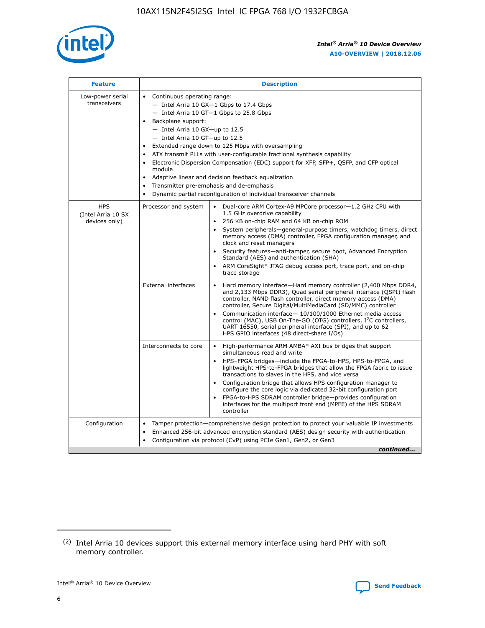

| <b>Feature</b>                                    | <b>Description</b>                                                                                                                                                                                                                                                                                                                                                                                                                                                                                                                                                                                                                                |  |  |  |  |  |  |  |  |
|---------------------------------------------------|---------------------------------------------------------------------------------------------------------------------------------------------------------------------------------------------------------------------------------------------------------------------------------------------------------------------------------------------------------------------------------------------------------------------------------------------------------------------------------------------------------------------------------------------------------------------------------------------------------------------------------------------------|--|--|--|--|--|--|--|--|
| Low-power serial<br>transceivers                  | • Continuous operating range:<br>- Intel Arria 10 GX-1 Gbps to 17.4 Gbps<br>$-$ Intel Arria 10 GT $-1$ Gbps to 25.8 Gbps<br>Backplane support:<br>$-$ Intel Arria 10 GX-up to 12.5<br>- Intel Arria 10 GT-up to 12.5<br>Extended range down to 125 Mbps with oversampling<br>ATX transmit PLLs with user-configurable fractional synthesis capability<br>• Electronic Dispersion Compensation (EDC) support for XFP, SFP+, OSFP, and CFP optical<br>module<br>• Adaptive linear and decision feedback equalization<br>Transmitter pre-emphasis and de-emphasis<br>$\bullet$<br>Dynamic partial reconfiguration of individual transceiver channels |  |  |  |  |  |  |  |  |
| <b>HPS</b><br>(Intel Arria 10 SX<br>devices only) | Processor and system<br>$\bullet$<br>Dual-core ARM Cortex-A9 MPCore processor-1.2 GHz CPU with<br>1.5 GHz overdrive capability<br>256 KB on-chip RAM and 64 KB on-chip ROM<br>System peripherals-general-purpose timers, watchdog timers, direct<br>memory access (DMA) controller, FPGA configuration manager, and<br>clock and reset managers<br>• Security features—anti-tamper, secure boot, Advanced Encryption<br>Standard (AES) and authentication (SHA)<br>ARM CoreSight* JTAG debug access port, trace port, and on-chip<br>trace storage                                                                                                |  |  |  |  |  |  |  |  |
|                                                   | <b>External interfaces</b><br>Hard memory interface—Hard memory controller (2,400 Mbps DDR4,<br>and 2,133 Mbps DDR3), Quad serial peripheral interface (QSPI) flash<br>controller, NAND flash controller, direct memory access (DMA)<br>controller, Secure Digital/MultiMediaCard (SD/MMC) controller<br>Communication interface-10/100/1000 Ethernet media access<br>$\bullet$<br>control (MAC), USB On-The-GO (OTG) controllers, I <sup>2</sup> C controllers,<br>UART 16550, serial peripheral interface (SPI), and up to 62<br>HPS GPIO interfaces (48 direct-share I/Os)                                                                     |  |  |  |  |  |  |  |  |
|                                                   | Interconnects to core<br>$\bullet$<br>High-performance ARM AMBA* AXI bus bridges that support<br>simultaneous read and write<br>HPS-FPGA bridges-include the FPGA-to-HPS, HPS-to-FPGA, and<br>$\bullet$<br>lightweight HPS-to-FPGA bridges that allow the FPGA fabric to issue<br>transactions to slaves in the HPS, and vice versa<br>Configuration bridge that allows HPS configuration manager to<br>configure the core logic via dedicated 32-bit configuration port<br>FPGA-to-HPS SDRAM controller bridge-provides configuration<br>interfaces for the multiport front end (MPFE) of the HPS SDRAM<br>controller                            |  |  |  |  |  |  |  |  |
| Configuration                                     | Tamper protection—comprehensive design protection to protect your valuable IP investments<br>Enhanced 256-bit advanced encryption standard (AES) design security with authentication<br>٠<br>Configuration via protocol (CvP) using PCIe Gen1, Gen2, or Gen3<br>continued                                                                                                                                                                                                                                                                                                                                                                         |  |  |  |  |  |  |  |  |

<sup>(2)</sup> Intel Arria 10 devices support this external memory interface using hard PHY with soft memory controller.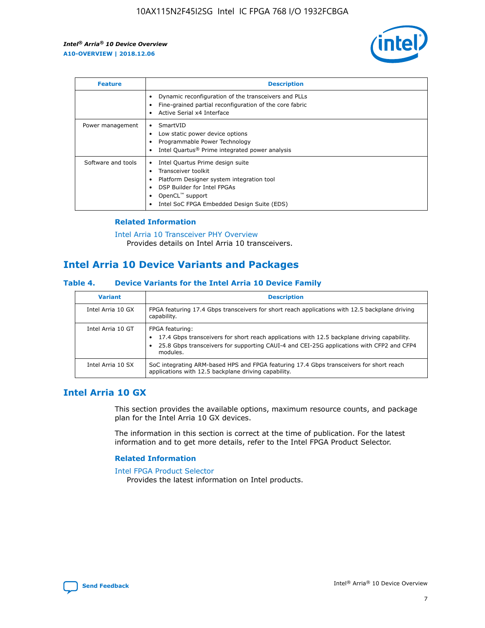

| <b>Feature</b>     | <b>Description</b>                                                                                                                                                                                               |
|--------------------|------------------------------------------------------------------------------------------------------------------------------------------------------------------------------------------------------------------|
|                    | Dynamic reconfiguration of the transceivers and PLLs<br>Fine-grained partial reconfiguration of the core fabric<br>Active Serial x4 Interface<br>$\bullet$                                                       |
| Power management   | SmartVID<br>$\bullet$<br>Low static power device options<br>Programmable Power Technology<br>Intel Quartus <sup>®</sup> Prime integrated power analysis                                                          |
| Software and tools | Intel Quartus Prime design suite<br>Transceiver toolkit<br>Platform Designer system integration tool<br>DSP Builder for Intel FPGAs<br>OpenCL <sup>"</sup> support<br>Intel SoC FPGA Embedded Design Suite (EDS) |

### **Related Information**

#### [Intel Arria 10 Transceiver PHY Overview](https://www.intel.com/content/www/us/en/programmable/documentation/nik1398707230472.html#nik1398706768037) Provides details on Intel Arria 10 transceivers.

### **Intel Arria 10 Device Variants and Packages**

### **Table 4. Device Variants for the Intel Arria 10 Device Family**

| <b>Variant</b>    | <b>Description</b>                                                                                                                                                                                                     |
|-------------------|------------------------------------------------------------------------------------------------------------------------------------------------------------------------------------------------------------------------|
| Intel Arria 10 GX | FPGA featuring 17.4 Gbps transceivers for short reach applications with 12.5 backplane driving<br>capability.                                                                                                          |
| Intel Arria 10 GT | FPGA featuring:<br>17.4 Gbps transceivers for short reach applications with 12.5 backplane driving capability.<br>25.8 Gbps transceivers for supporting CAUI-4 and CEI-25G applications with CFP2 and CFP4<br>modules. |
| Intel Arria 10 SX | SoC integrating ARM-based HPS and FPGA featuring 17.4 Gbps transceivers for short reach<br>applications with 12.5 backplane driving capability.                                                                        |

### **Intel Arria 10 GX**

This section provides the available options, maximum resource counts, and package plan for the Intel Arria 10 GX devices.

The information in this section is correct at the time of publication. For the latest information and to get more details, refer to the Intel FPGA Product Selector.

### **Related Information**

#### [Intel FPGA Product Selector](http://www.altera.com/products/selector/psg-selector.html) Provides the latest information on Intel products.

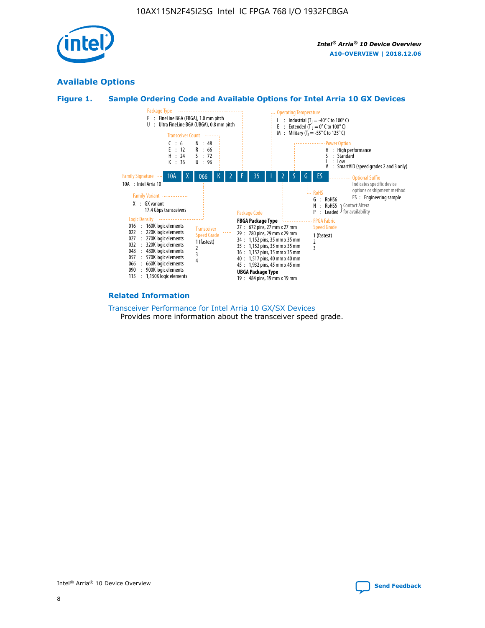

### **Available Options**





#### **Related Information**

[Transceiver Performance for Intel Arria 10 GX/SX Devices](https://www.intel.com/content/www/us/en/programmable/documentation/mcn1413182292568.html#mcn1413213965502) Provides more information about the transceiver speed grade.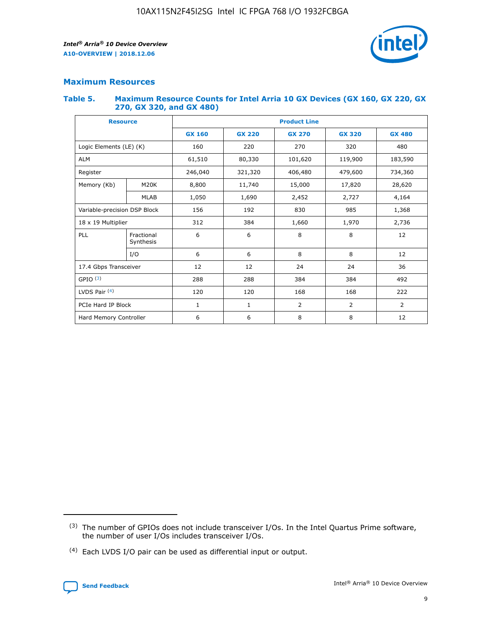

### **Maximum Resources**

#### **Table 5. Maximum Resource Counts for Intel Arria 10 GX Devices (GX 160, GX 220, GX 270, GX 320, and GX 480)**

| <b>Resource</b>              |                         | <b>Product Line</b> |                                |                |                |                |  |  |  |
|------------------------------|-------------------------|---------------------|--------------------------------|----------------|----------------|----------------|--|--|--|
|                              |                         | <b>GX 160</b>       | <b>GX 220</b><br><b>GX 270</b> |                | <b>GX 320</b>  | <b>GX 480</b>  |  |  |  |
| Logic Elements (LE) (K)      |                         | 160                 | 220                            | 270            | 320            | 480            |  |  |  |
| <b>ALM</b>                   |                         | 61,510              | 80,330                         | 101,620        | 119,900        | 183,590        |  |  |  |
| Register                     |                         | 246,040             | 406,480<br>321,320             |                | 479,600        | 734,360        |  |  |  |
| Memory (Kb)                  | M <sub>20</sub> K       | 8,800               | 11,740                         |                | 17,820         | 28,620         |  |  |  |
|                              | <b>MLAB</b>             | 1,050               | 1,690                          | 2,452          | 2,727          | 4,164          |  |  |  |
| Variable-precision DSP Block |                         | 156                 | 192                            | 830            | 985            | 1,368          |  |  |  |
| 18 x 19 Multiplier           |                         | 312                 | 384                            | 1,970<br>1,660 |                | 2,736          |  |  |  |
| PLL                          | Fractional<br>Synthesis | 6                   | 6                              | 8              | 8              | 12             |  |  |  |
|                              | I/O                     | 6                   | 6                              | 8              | 8              | 12             |  |  |  |
| 17.4 Gbps Transceiver        |                         | 12                  | 12                             | 24             | 24             | 36             |  |  |  |
| GPIO <sup>(3)</sup>          |                         | 288                 | 288                            | 384            | 384            |                |  |  |  |
| LVDS Pair $(4)$              |                         | 120                 | 120                            | 168            | 168            | 222            |  |  |  |
| PCIe Hard IP Block           |                         | 1                   | 1                              | 2              | $\overline{2}$ | $\overline{2}$ |  |  |  |
| Hard Memory Controller       |                         | 6                   | 6                              | 8<br>8         |                | 12             |  |  |  |

<sup>(4)</sup> Each LVDS I/O pair can be used as differential input or output.



<sup>(3)</sup> The number of GPIOs does not include transceiver I/Os. In the Intel Quartus Prime software, the number of user I/Os includes transceiver I/Os.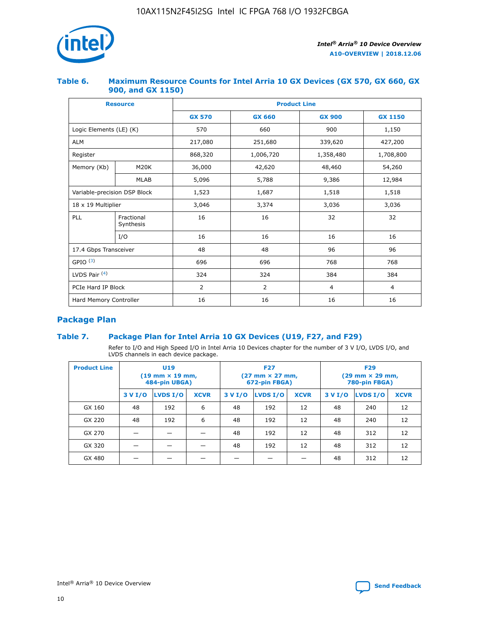

### **Table 6. Maximum Resource Counts for Intel Arria 10 GX Devices (GX 570, GX 660, GX 900, and GX 1150)**

|                              | <b>Resource</b>         | <b>Product Line</b> |                |                |                |  |  |  |
|------------------------------|-------------------------|---------------------|----------------|----------------|----------------|--|--|--|
|                              |                         | <b>GX 570</b>       | <b>GX 660</b>  | <b>GX 900</b>  | <b>GX 1150</b> |  |  |  |
| Logic Elements (LE) (K)      |                         | 570                 | 660            | 900            | 1,150          |  |  |  |
| <b>ALM</b>                   |                         | 217,080             | 251,680        | 339,620        | 427,200        |  |  |  |
| Register                     |                         | 868,320             | 1,006,720      |                | 1,708,800      |  |  |  |
| Memory (Kb)                  | <b>M20K</b>             | 36,000              | 42,620         | 48,460         | 54,260         |  |  |  |
|                              | <b>MLAB</b>             | 5,096               | 5,788          | 9,386          | 12,984         |  |  |  |
| Variable-precision DSP Block |                         | 1,523               | 1,687          | 1,518          | 1,518          |  |  |  |
| $18 \times 19$ Multiplier    |                         | 3,046               | 3,374          | 3,036          | 3,036          |  |  |  |
| PLL                          | Fractional<br>Synthesis | 16                  | 16             | 32             | 32             |  |  |  |
|                              | I/O                     | 16                  | 16             | 16             | 16             |  |  |  |
| 17.4 Gbps Transceiver        |                         | 48                  | 48             | 96             | 96             |  |  |  |
| GPIO <sup>(3)</sup>          |                         | 696                 | 696            | 768            | 768            |  |  |  |
| LVDS Pair $(4)$              |                         | 324                 | 324            | 384            | 384            |  |  |  |
| PCIe Hard IP Block           |                         | 2                   | $\overline{2}$ | $\overline{4}$ | 4              |  |  |  |
| Hard Memory Controller       |                         | 16                  | 16             | 16             | 16             |  |  |  |

### **Package Plan**

### **Table 7. Package Plan for Intel Arria 10 GX Devices (U19, F27, and F29)**

Refer to I/O and High Speed I/O in Intel Arria 10 Devices chapter for the number of 3 V I/O, LVDS I/O, and LVDS channels in each device package.

| <b>Product Line</b> | <b>U19</b><br>$(19 \text{ mm} \times 19 \text{ mm})$<br>484-pin UBGA) |          |             |         | <b>F27</b><br>(27 mm × 27 mm,<br>672-pin FBGA) |             | <b>F29</b><br>(29 mm × 29 mm,<br>780-pin FBGA) |          |             |  |
|---------------------|-----------------------------------------------------------------------|----------|-------------|---------|------------------------------------------------|-------------|------------------------------------------------|----------|-------------|--|
|                     | 3 V I/O                                                               | LVDS I/O | <b>XCVR</b> | 3 V I/O | LVDS I/O                                       | <b>XCVR</b> | 3 V I/O                                        | LVDS I/O | <b>XCVR</b> |  |
| GX 160              | 48                                                                    | 192      | 6           | 48      | 192                                            | 12          | 48                                             | 240      | 12          |  |
| GX 220              | 48                                                                    | 192      | 6           | 48      | 192                                            | 12          | 48                                             | 240      | 12          |  |
| GX 270              |                                                                       |          |             | 48      | 192                                            | 12          | 48                                             | 312      | 12          |  |
| GX 320              |                                                                       |          |             | 48      | 192                                            | 12          | 48                                             | 312      | 12          |  |
| GX 480              |                                                                       |          |             |         |                                                |             | 48                                             | 312      | 12          |  |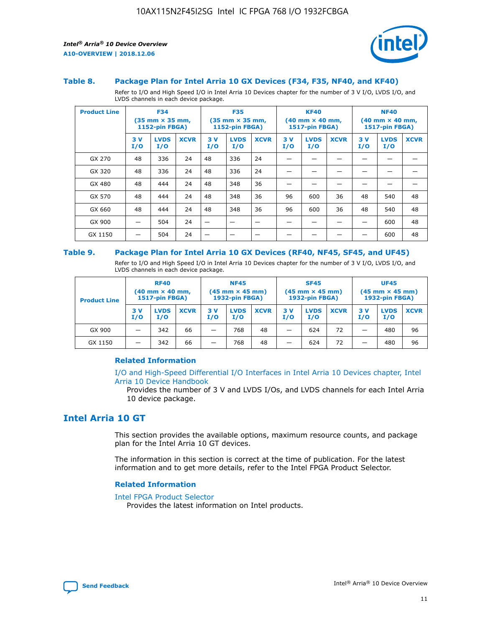

#### **Table 8. Package Plan for Intel Arria 10 GX Devices (F34, F35, NF40, and KF40)**

Refer to I/O and High Speed I/O in Intel Arria 10 Devices chapter for the number of 3 V I/O, LVDS I/O, and LVDS channels in each device package.

| <b>Product Line</b> | <b>F34</b><br>$(35 \text{ mm} \times 35 \text{ mm})$<br>1152-pin FBGA) |                    | <b>F35</b><br>$(35 \text{ mm} \times 35 \text{ mm})$<br><b>1152-pin FBGA)</b> |           | <b>KF40</b><br>$(40$ mm $\times$ 40 mm,<br>1517-pin FBGA) |             |           | <b>NF40</b><br>$(40$ mm $\times$ 40 mm,<br><b>1517-pin FBGA)</b> |             |            |                    |             |
|---------------------|------------------------------------------------------------------------|--------------------|-------------------------------------------------------------------------------|-----------|-----------------------------------------------------------|-------------|-----------|------------------------------------------------------------------|-------------|------------|--------------------|-------------|
|                     | 3V<br>I/O                                                              | <b>LVDS</b><br>I/O | <b>XCVR</b>                                                                   | 3V<br>I/O | <b>LVDS</b><br>I/O                                        | <b>XCVR</b> | 3V<br>I/O | <b>LVDS</b><br>I/O                                               | <b>XCVR</b> | 3 V<br>I/O | <b>LVDS</b><br>I/O | <b>XCVR</b> |
| GX 270              | 48                                                                     | 336                | 24                                                                            | 48        | 336                                                       | 24          |           |                                                                  |             |            |                    |             |
| GX 320              | 48                                                                     | 336                | 24                                                                            | 48        | 336                                                       | 24          |           |                                                                  |             |            |                    |             |
| GX 480              | 48                                                                     | 444                | 24                                                                            | 48        | 348                                                       | 36          |           |                                                                  |             |            |                    |             |
| GX 570              | 48                                                                     | 444                | 24                                                                            | 48        | 348                                                       | 36          | 96        | 600                                                              | 36          | 48         | 540                | 48          |
| GX 660              | 48                                                                     | 444                | 24                                                                            | 48        | 348                                                       | 36          | 96        | 600                                                              | 36          | 48         | 540                | 48          |
| GX 900              |                                                                        | 504                | 24                                                                            | -         |                                                           |             |           |                                                                  |             |            | 600                | 48          |
| GX 1150             |                                                                        | 504                | 24                                                                            |           |                                                           |             |           |                                                                  |             |            | 600                | 48          |

#### **Table 9. Package Plan for Intel Arria 10 GX Devices (RF40, NF45, SF45, and UF45)**

Refer to I/O and High Speed I/O in Intel Arria 10 Devices chapter for the number of 3 V I/O, LVDS I/O, and LVDS channels in each device package.

| <b>Product Line</b> | <b>RF40</b><br>$(40$ mm $\times$ 40 mm,<br>1517-pin FBGA) |                    | <b>NF45</b><br>$(45 \text{ mm} \times 45 \text{ mm})$<br><b>1932-pin FBGA)</b> |            |                    | <b>SF45</b><br>$(45 \text{ mm} \times 45 \text{ mm})$<br><b>1932-pin FBGA)</b> |            |                    | <b>UF45</b><br>$(45 \text{ mm} \times 45 \text{ mm})$<br><b>1932-pin FBGA)</b> |           |                    |             |
|---------------------|-----------------------------------------------------------|--------------------|--------------------------------------------------------------------------------|------------|--------------------|--------------------------------------------------------------------------------|------------|--------------------|--------------------------------------------------------------------------------|-----------|--------------------|-------------|
|                     | 3V<br>I/O                                                 | <b>LVDS</b><br>I/O | <b>XCVR</b>                                                                    | 3 V<br>I/O | <b>LVDS</b><br>I/O | <b>XCVR</b>                                                                    | 3 V<br>I/O | <b>LVDS</b><br>I/O | <b>XCVR</b>                                                                    | 3V<br>I/O | <b>LVDS</b><br>I/O | <b>XCVR</b> |
| GX 900              |                                                           | 342                | 66                                                                             | _          | 768                | 48                                                                             |            | 624                | 72                                                                             |           | 480                | 96          |
| GX 1150             |                                                           | 342                | 66                                                                             | _          | 768                | 48                                                                             |            | 624                | 72                                                                             |           | 480                | 96          |

### **Related Information**

[I/O and High-Speed Differential I/O Interfaces in Intel Arria 10 Devices chapter, Intel](https://www.intel.com/content/www/us/en/programmable/documentation/sam1403482614086.html#sam1403482030321) [Arria 10 Device Handbook](https://www.intel.com/content/www/us/en/programmable/documentation/sam1403482614086.html#sam1403482030321)

Provides the number of 3 V and LVDS I/Os, and LVDS channels for each Intel Arria 10 device package.

### **Intel Arria 10 GT**

This section provides the available options, maximum resource counts, and package plan for the Intel Arria 10 GT devices.

The information in this section is correct at the time of publication. For the latest information and to get more details, refer to the Intel FPGA Product Selector.

#### **Related Information**

#### [Intel FPGA Product Selector](http://www.altera.com/products/selector/psg-selector.html)

Provides the latest information on Intel products.

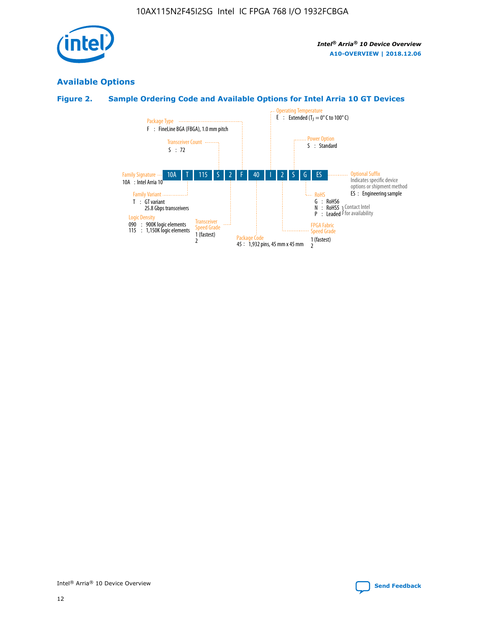

### **Available Options**

### **Figure 2. Sample Ordering Code and Available Options for Intel Arria 10 GT Devices**

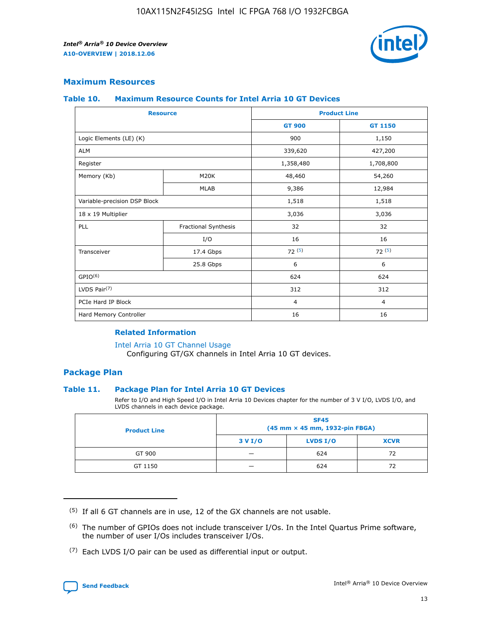

### **Maximum Resources**

#### **Table 10. Maximum Resource Counts for Intel Arria 10 GT Devices**

| <b>Resource</b>              |                      | <b>Product Line</b> |                |  |
|------------------------------|----------------------|---------------------|----------------|--|
|                              |                      | <b>GT 900</b>       | <b>GT 1150</b> |  |
| Logic Elements (LE) (K)      |                      | 900                 | 1,150          |  |
| <b>ALM</b>                   |                      | 339,620             | 427,200        |  |
| Register                     |                      | 1,358,480           | 1,708,800      |  |
| Memory (Kb)                  | M20K                 | 48,460              | 54,260         |  |
|                              | <b>MLAB</b>          | 9,386               | 12,984         |  |
| Variable-precision DSP Block |                      | 1,518               | 1,518          |  |
| 18 x 19 Multiplier           |                      | 3,036               | 3,036          |  |
| PLL                          | Fractional Synthesis | 32                  | 32             |  |
|                              | I/O                  | 16                  | 16             |  |
| Transceiver                  | 17.4 Gbps            | 72(5)               | 72(5)          |  |
|                              | 25.8 Gbps            | 6                   | 6              |  |
| GPIO <sup>(6)</sup>          |                      | 624                 | 624            |  |
| LVDS Pair $(7)$              |                      | 312                 | 312            |  |
| PCIe Hard IP Block           |                      | $\overline{4}$      | $\overline{4}$ |  |
| Hard Memory Controller       |                      | 16                  | 16             |  |

#### **Related Information**

#### [Intel Arria 10 GT Channel Usage](https://www.intel.com/content/www/us/en/programmable/documentation/nik1398707230472.html#nik1398707008178)

Configuring GT/GX channels in Intel Arria 10 GT devices.

### **Package Plan**

### **Table 11. Package Plan for Intel Arria 10 GT Devices**

Refer to I/O and High Speed I/O in Intel Arria 10 Devices chapter for the number of 3 V I/O, LVDS I/O, and LVDS channels in each device package.

| <b>Product Line</b> | <b>SF45</b><br>(45 mm × 45 mm, 1932-pin FBGA) |                 |             |  |  |  |
|---------------------|-----------------------------------------------|-----------------|-------------|--|--|--|
|                     | 3 V I/O                                       | <b>LVDS I/O</b> | <b>XCVR</b> |  |  |  |
| GT 900              |                                               | 624             | 72          |  |  |  |
| GT 1150             |                                               | 624             | 72          |  |  |  |

<sup>(7)</sup> Each LVDS I/O pair can be used as differential input or output.



 $(5)$  If all 6 GT channels are in use, 12 of the GX channels are not usable.

<sup>(6)</sup> The number of GPIOs does not include transceiver I/Os. In the Intel Quartus Prime software, the number of user I/Os includes transceiver I/Os.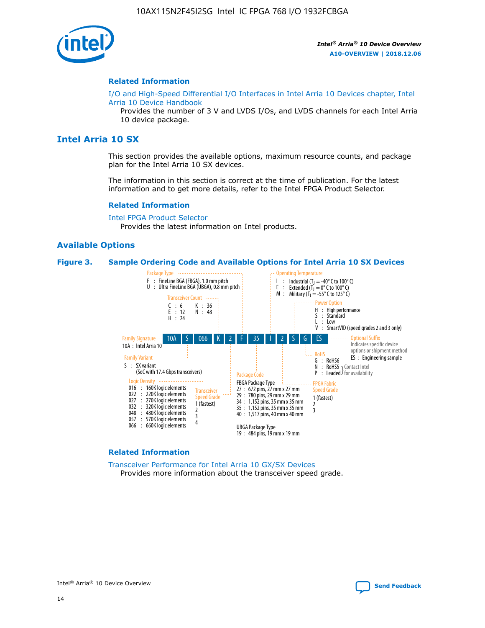

#### **Related Information**

[I/O and High-Speed Differential I/O Interfaces in Intel Arria 10 Devices chapter, Intel](https://www.intel.com/content/www/us/en/programmable/documentation/sam1403482614086.html#sam1403482030321) [Arria 10 Device Handbook](https://www.intel.com/content/www/us/en/programmable/documentation/sam1403482614086.html#sam1403482030321)

Provides the number of 3 V and LVDS I/Os, and LVDS channels for each Intel Arria 10 device package.

### **Intel Arria 10 SX**

This section provides the available options, maximum resource counts, and package plan for the Intel Arria 10 SX devices.

The information in this section is correct at the time of publication. For the latest information and to get more details, refer to the Intel FPGA Product Selector.

#### **Related Information**

[Intel FPGA Product Selector](http://www.altera.com/products/selector/psg-selector.html) Provides the latest information on Intel products.

### **Available Options**

#### **Figure 3. Sample Ordering Code and Available Options for Intel Arria 10 SX Devices**



#### **Related Information**

[Transceiver Performance for Intel Arria 10 GX/SX Devices](https://www.intel.com/content/www/us/en/programmable/documentation/mcn1413182292568.html#mcn1413213965502) Provides more information about the transceiver speed grade.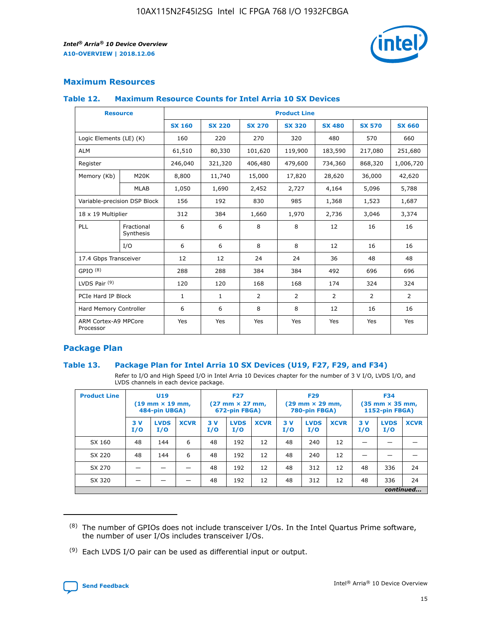

### **Maximum Resources**

### **Table 12. Maximum Resource Counts for Intel Arria 10 SX Devices**

| <b>Resource</b>                   |                         | <b>Product Line</b> |               |                |                |               |                |               |  |  |  |
|-----------------------------------|-------------------------|---------------------|---------------|----------------|----------------|---------------|----------------|---------------|--|--|--|
|                                   |                         | <b>SX 160</b>       | <b>SX 220</b> | <b>SX 270</b>  | <b>SX 320</b>  | <b>SX 480</b> | <b>SX 570</b>  | <b>SX 660</b> |  |  |  |
| Logic Elements (LE) (K)           |                         | 160                 | 220           | 270            | 320            | 480           | 570            | 660           |  |  |  |
| <b>ALM</b>                        |                         | 61,510              | 80,330        | 101,620        | 119,900        | 183,590       | 217,080        | 251,680       |  |  |  |
| Register                          |                         | 246,040             | 321,320       | 406,480        | 479,600        | 734,360       | 868,320        | 1,006,720     |  |  |  |
| Memory (Kb)                       | <b>M20K</b>             | 8,800               | 11,740        | 15,000         | 17,820         | 28,620        | 36,000         | 42,620        |  |  |  |
|                                   | <b>MLAB</b>             | 1,050               | 1,690         | 2,452          | 2,727          | 4,164         | 5,096          | 5,788         |  |  |  |
| Variable-precision DSP Block      |                         | 156                 | 192           | 830            | 985            | 1,368         | 1,523          | 1,687         |  |  |  |
|                                   | 18 x 19 Multiplier      |                     | 384           | 1,660          | 1,970          | 2,736         | 3,046          | 3,374         |  |  |  |
| PLL                               | Fractional<br>Synthesis | 6                   | 6             | 8              | 8              | 12            | 16             | 16            |  |  |  |
|                                   | I/O                     | 6                   | 6             | 8              | 8              | 12            | 16             | 16            |  |  |  |
| 17.4 Gbps Transceiver             |                         | 12                  | 12            | 24             | 24             | 36            | 48             | 48            |  |  |  |
| GPIO <sup>(8)</sup>               |                         | 288                 | 288           | 384            | 384            | 492           | 696            | 696           |  |  |  |
| LVDS Pair $(9)$                   |                         | 120                 | 120           | 168            | 168            | 174           | 324            | 324           |  |  |  |
| PCIe Hard IP Block                |                         | $\mathbf{1}$        | 1             | $\overline{2}$ | $\overline{2}$ | 2             | $\overline{2}$ | 2             |  |  |  |
| Hard Memory Controller            |                         | 6                   | 6             | 8              | 8              | 12            | 16             | 16            |  |  |  |
| ARM Cortex-A9 MPCore<br>Processor |                         | Yes                 | Yes           | Yes            | Yes            | Yes           | Yes            | Yes           |  |  |  |

### **Package Plan**

### **Table 13. Package Plan for Intel Arria 10 SX Devices (U19, F27, F29, and F34)**

Refer to I/O and High Speed I/O in Intel Arria 10 Devices chapter for the number of 3 V I/O, LVDS I/O, and LVDS channels in each device package.

| <b>Product Line</b> | U19<br>$(19 \text{ mm} \times 19 \text{ mm})$<br>484-pin UBGA) |                    | <b>F27</b><br>$(27 \text{ mm} \times 27 \text{ mm})$<br>672-pin FBGA) |           | <b>F29</b><br>$(29 \text{ mm} \times 29 \text{ mm})$<br>780-pin FBGA) |             |            | <b>F34</b><br>$(35 \text{ mm} \times 35 \text{ mm})$<br><b>1152-pin FBGA)</b> |             |           |                    |             |
|---------------------|----------------------------------------------------------------|--------------------|-----------------------------------------------------------------------|-----------|-----------------------------------------------------------------------|-------------|------------|-------------------------------------------------------------------------------|-------------|-----------|--------------------|-------------|
|                     | 3V<br>I/O                                                      | <b>LVDS</b><br>I/O | <b>XCVR</b>                                                           | 3V<br>I/O | <b>LVDS</b><br>I/O                                                    | <b>XCVR</b> | 3 V<br>I/O | <b>LVDS</b><br>I/O                                                            | <b>XCVR</b> | 3V<br>I/O | <b>LVDS</b><br>I/O | <b>XCVR</b> |
| SX 160              | 48                                                             | 144                | 6                                                                     | 48        | 192                                                                   | 12          | 48         | 240                                                                           | 12          | –         |                    |             |
| SX 220              | 48                                                             | 144                | 6                                                                     | 48        | 192                                                                   | 12          | 48         | 240                                                                           | 12          |           |                    |             |
| SX 270              |                                                                |                    |                                                                       | 48        | 192                                                                   | 12          | 48         | 312                                                                           | 12          | 48        | 336                | 24          |
| SX 320              |                                                                |                    |                                                                       | 48        | 192                                                                   | 12          | 48         | 312                                                                           | 12          | 48        | 336                | 24          |
|                     | continued                                                      |                    |                                                                       |           |                                                                       |             |            |                                                                               |             |           |                    |             |

 $(8)$  The number of GPIOs does not include transceiver I/Os. In the Intel Quartus Prime software, the number of user I/Os includes transceiver I/Os.

 $(9)$  Each LVDS I/O pair can be used as differential input or output.

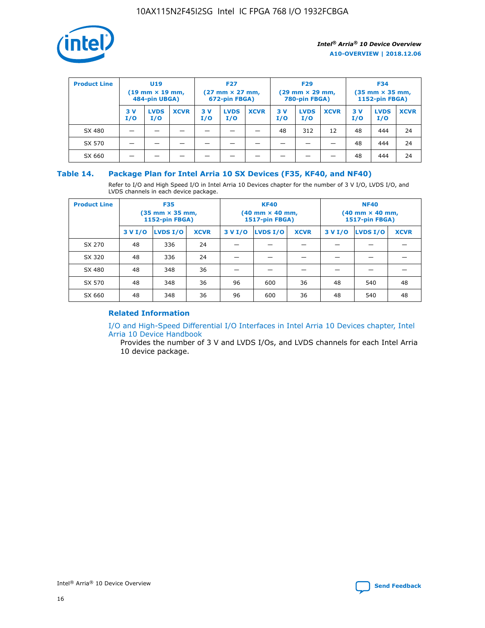

| <b>Product Line</b> | U <sub>19</sub><br>$(19 \text{ mm} \times 19 \text{ mm})$<br>484-pin UBGA) |                    | <b>F27</b><br>$(27 \text{ mm} \times 27 \text{ mm})$<br>672-pin FBGA) |           | <b>F29</b><br>$(29$ mm $\times$ 29 mm,<br>780-pin FBGA) |             |           | <b>F34</b><br>$(35$ mm $\times$ 35 mm,<br><b>1152-pin FBGA)</b> |             |            |                    |             |
|---------------------|----------------------------------------------------------------------------|--------------------|-----------------------------------------------------------------------|-----------|---------------------------------------------------------|-------------|-----------|-----------------------------------------------------------------|-------------|------------|--------------------|-------------|
|                     | 3 V<br>I/O                                                                 | <b>LVDS</b><br>I/O | <b>XCVR</b>                                                           | 3V<br>I/O | <b>LVDS</b><br>I/O                                      | <b>XCVR</b> | 3V<br>I/O | <b>LVDS</b><br>I/O                                              | <b>XCVR</b> | 3 V<br>I/O | <b>LVDS</b><br>I/O | <b>XCVR</b> |
| SX 480              |                                                                            |                    |                                                                       |           |                                                         |             | 48        | 312                                                             | 12          | 48         | 444                | 24          |
| SX 570              |                                                                            |                    |                                                                       |           |                                                         |             |           |                                                                 |             | 48         | 444                | 24          |
| SX 660              |                                                                            |                    |                                                                       |           |                                                         |             |           |                                                                 |             | 48         | 444                | 24          |

### **Table 14. Package Plan for Intel Arria 10 SX Devices (F35, KF40, and NF40)**

Refer to I/O and High Speed I/O in Intel Arria 10 Devices chapter for the number of 3 V I/O, LVDS I/O, and LVDS channels in each device package.

| <b>Product Line</b> | <b>F35</b><br>$(35 \text{ mm} \times 35 \text{ mm})$<br><b>1152-pin FBGA)</b> |          |             |                                           | <b>KF40</b><br>(40 mm × 40 mm,<br>1517-pin FBGA) |    | <b>NF40</b><br>$(40 \text{ mm} \times 40 \text{ mm})$<br>1517-pin FBGA) |          |             |  |
|---------------------|-------------------------------------------------------------------------------|----------|-------------|-------------------------------------------|--------------------------------------------------|----|-------------------------------------------------------------------------|----------|-------------|--|
|                     | 3 V I/O                                                                       | LVDS I/O | <b>XCVR</b> | <b>LVDS I/O</b><br><b>XCVR</b><br>3 V I/O |                                                  |    | 3 V I/O                                                                 | LVDS I/O | <b>XCVR</b> |  |
| SX 270              | 48                                                                            | 336      | 24          |                                           |                                                  |    |                                                                         |          |             |  |
| SX 320              | 48                                                                            | 336      | 24          |                                           |                                                  |    |                                                                         |          |             |  |
| SX 480              | 48                                                                            | 348      | 36          |                                           |                                                  |    |                                                                         |          |             |  |
| SX 570              | 48                                                                            | 348      | 36          | 96                                        | 600                                              | 36 | 48                                                                      | 540      | 48          |  |
| SX 660              | 48                                                                            | 348      | 36          | 96                                        | 600                                              | 36 | 48                                                                      | 540      | 48          |  |

### **Related Information**

[I/O and High-Speed Differential I/O Interfaces in Intel Arria 10 Devices chapter, Intel](https://www.intel.com/content/www/us/en/programmable/documentation/sam1403482614086.html#sam1403482030321) [Arria 10 Device Handbook](https://www.intel.com/content/www/us/en/programmable/documentation/sam1403482614086.html#sam1403482030321)

Provides the number of 3 V and LVDS I/Os, and LVDS channels for each Intel Arria 10 device package.

Intel<sup>®</sup> Arria<sup>®</sup> 10 Device Overview **[Send Feedback](mailto:FPGAtechdocfeedback@intel.com?subject=Feedback%20on%20Intel%20Arria%2010%20Device%20Overview%20(A10-OVERVIEW%202018.12.06)&body=We%20appreciate%20your%20feedback.%20In%20your%20comments,%20also%20specify%20the%20page%20number%20or%20paragraph.%20Thank%20you.)** Send Feedback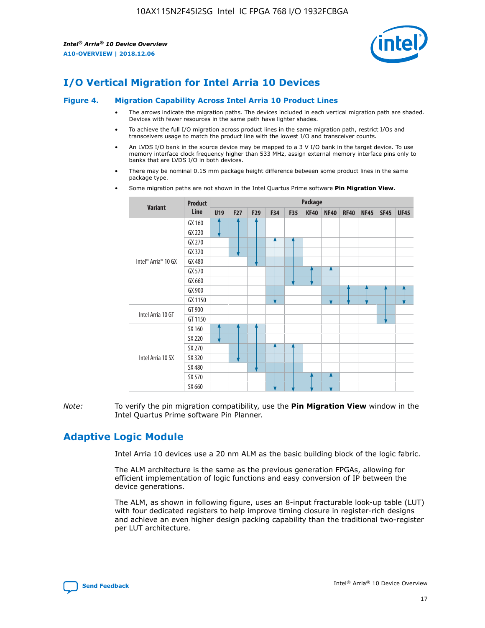

### **I/O Vertical Migration for Intel Arria 10 Devices**

#### **Figure 4. Migration Capability Across Intel Arria 10 Product Lines**

- The arrows indicate the migration paths. The devices included in each vertical migration path are shaded. Devices with fewer resources in the same path have lighter shades.
- To achieve the full I/O migration across product lines in the same migration path, restrict I/Os and transceivers usage to match the product line with the lowest I/O and transceiver counts.
- An LVDS I/O bank in the source device may be mapped to a 3 V I/O bank in the target device. To use memory interface clock frequency higher than 533 MHz, assign external memory interface pins only to banks that are LVDS I/O in both devices.
- There may be nominal 0.15 mm package height difference between some product lines in the same package type.
	- **Variant Product Line Package U19 F27 F29 F34 F35 KF40 NF40 RF40 NF45 SF45 UF45** Intel® Arria® 10 GX GX 160 GX 220 GX 270 GX 320 GX 480 GX 570 GX 660 GX 900 GX 1150 Intel Arria 10 GT GT 900 GT 1150 Intel Arria 10 SX SX 160 SX 220 SX 270 SX 320 SX 480 SX 570 SX 660
- Some migration paths are not shown in the Intel Quartus Prime software **Pin Migration View**.

*Note:* To verify the pin migration compatibility, use the **Pin Migration View** window in the Intel Quartus Prime software Pin Planner.

### **Adaptive Logic Module**

Intel Arria 10 devices use a 20 nm ALM as the basic building block of the logic fabric.

The ALM architecture is the same as the previous generation FPGAs, allowing for efficient implementation of logic functions and easy conversion of IP between the device generations.

The ALM, as shown in following figure, uses an 8-input fracturable look-up table (LUT) with four dedicated registers to help improve timing closure in register-rich designs and achieve an even higher design packing capability than the traditional two-register per LUT architecture.

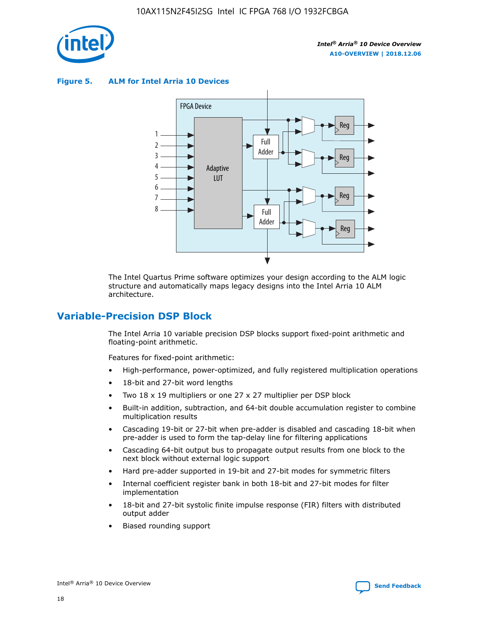

**Figure 5. ALM for Intel Arria 10 Devices**



The Intel Quartus Prime software optimizes your design according to the ALM logic structure and automatically maps legacy designs into the Intel Arria 10 ALM architecture.

### **Variable-Precision DSP Block**

The Intel Arria 10 variable precision DSP blocks support fixed-point arithmetic and floating-point arithmetic.

Features for fixed-point arithmetic:

- High-performance, power-optimized, and fully registered multiplication operations
- 18-bit and 27-bit word lengths
- Two 18 x 19 multipliers or one 27 x 27 multiplier per DSP block
- Built-in addition, subtraction, and 64-bit double accumulation register to combine multiplication results
- Cascading 19-bit or 27-bit when pre-adder is disabled and cascading 18-bit when pre-adder is used to form the tap-delay line for filtering applications
- Cascading 64-bit output bus to propagate output results from one block to the next block without external logic support
- Hard pre-adder supported in 19-bit and 27-bit modes for symmetric filters
- Internal coefficient register bank in both 18-bit and 27-bit modes for filter implementation
- 18-bit and 27-bit systolic finite impulse response (FIR) filters with distributed output adder
- Biased rounding support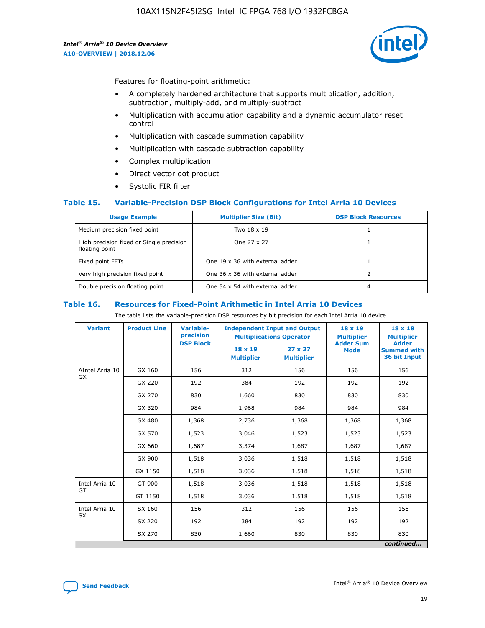

Features for floating-point arithmetic:

- A completely hardened architecture that supports multiplication, addition, subtraction, multiply-add, and multiply-subtract
- Multiplication with accumulation capability and a dynamic accumulator reset control
- Multiplication with cascade summation capability
- Multiplication with cascade subtraction capability
- Complex multiplication
- Direct vector dot product
- Systolic FIR filter

### **Table 15. Variable-Precision DSP Block Configurations for Intel Arria 10 Devices**

| <b>Usage Example</b>                                       | <b>Multiplier Size (Bit)</b>    | <b>DSP Block Resources</b> |
|------------------------------------------------------------|---------------------------------|----------------------------|
| Medium precision fixed point                               | Two 18 x 19                     |                            |
| High precision fixed or Single precision<br>floating point | One 27 x 27                     |                            |
| Fixed point FFTs                                           | One 19 x 36 with external adder |                            |
| Very high precision fixed point                            | One 36 x 36 with external adder |                            |
| Double precision floating point                            | One 54 x 54 with external adder | 4                          |

#### **Table 16. Resources for Fixed-Point Arithmetic in Intel Arria 10 Devices**

The table lists the variable-precision DSP resources by bit precision for each Intel Arria 10 device.

| <b>Variant</b>  | <b>Product Line</b> | Variable-<br>precision<br><b>DSP Block</b> | <b>Independent Input and Output</b><br><b>Multiplications Operator</b> |                                     | 18 x 19<br><b>Multiplier</b><br><b>Adder Sum</b> | $18 \times 18$<br><b>Multiplier</b><br><b>Adder</b> |
|-----------------|---------------------|--------------------------------------------|------------------------------------------------------------------------|-------------------------------------|--------------------------------------------------|-----------------------------------------------------|
|                 |                     |                                            | 18 x 19<br><b>Multiplier</b>                                           | $27 \times 27$<br><b>Multiplier</b> | <b>Mode</b>                                      | <b>Summed with</b><br>36 bit Input                  |
| AIntel Arria 10 | GX 160              | 156                                        | 312                                                                    | 156                                 | 156                                              | 156                                                 |
| GX              | GX 220              | 192                                        | 384                                                                    | 192                                 | 192                                              | 192                                                 |
|                 | GX 270              | 830                                        | 1,660                                                                  | 830                                 | 830                                              | 830                                                 |
|                 | GX 320              | 984                                        | 1,968                                                                  | 984                                 | 984                                              | 984                                                 |
|                 | GX 480              | 1,368                                      | 2,736                                                                  | 1,368                               | 1,368                                            | 1,368                                               |
|                 | GX 570              | 1,523                                      | 3,046                                                                  | 1,523                               | 1,523                                            | 1,523                                               |
|                 | GX 660              | 1,687                                      | 3,374                                                                  | 1,687                               | 1,687                                            | 1,687                                               |
|                 | GX 900              | 1,518                                      | 3,036                                                                  | 1,518                               | 1,518                                            | 1,518                                               |
|                 | GX 1150             | 1,518                                      | 3,036                                                                  | 1,518                               | 1,518                                            | 1,518                                               |
| Intel Arria 10  | GT 900              | 1,518                                      | 3,036                                                                  | 1,518                               | 1,518                                            | 1,518                                               |
| GT              | GT 1150             | 1,518                                      | 3,036                                                                  | 1,518                               | 1,518                                            | 1,518                                               |
| Intel Arria 10  | SX 160              | 156                                        | 312                                                                    | 156                                 | 156                                              | 156                                                 |
| <b>SX</b>       | SX 220<br>192       |                                            | 384                                                                    | 192                                 | 192                                              | 192                                                 |
|                 | SX 270              | 830                                        | 1,660                                                                  | 830                                 | 830                                              | 830                                                 |
|                 |                     |                                            |                                                                        |                                     |                                                  | continued                                           |

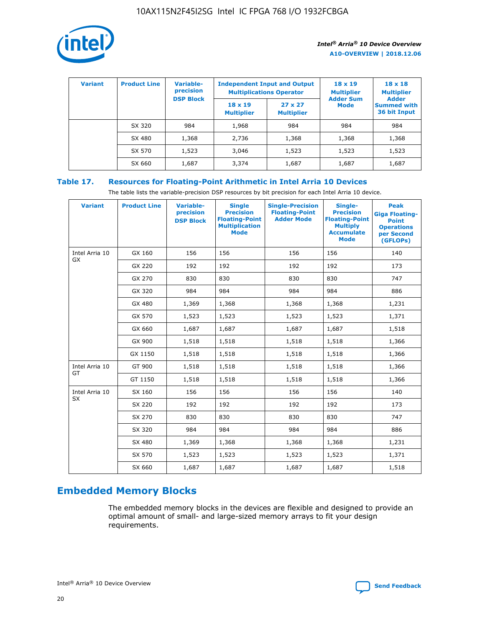

| <b>Variant</b> | <b>Product Line</b> | <b>Variable-</b><br>precision<br><b>DSP Block</b> | <b>Independent Input and Output</b><br><b>Multiplications Operator</b> |                                     | $18 \times 19$<br><b>Multiplier</b><br><b>Adder Sum</b> | $18 \times 18$<br><b>Multiplier</b><br><b>Adder</b> |  |
|----------------|---------------------|---------------------------------------------------|------------------------------------------------------------------------|-------------------------------------|---------------------------------------------------------|-----------------------------------------------------|--|
|                |                     |                                                   | $18 \times 19$<br><b>Multiplier</b>                                    | $27 \times 27$<br><b>Multiplier</b> | <b>Mode</b>                                             | <b>Summed with</b><br>36 bit Input                  |  |
|                | SX 320              | 984                                               | 1,968                                                                  | 984                                 | 984                                                     | 984                                                 |  |
|                | SX 480              | 1,368                                             | 2,736                                                                  | 1,368                               | 1,368                                                   | 1,368                                               |  |
|                | SX 570              | 1,523                                             | 3,046                                                                  | 1,523                               | 1,523                                                   | 1,523                                               |  |
|                | SX 660              | 1,687                                             | 3,374                                                                  | 1,687                               | 1,687                                                   | 1,687                                               |  |

### **Table 17. Resources for Floating-Point Arithmetic in Intel Arria 10 Devices**

The table lists the variable-precision DSP resources by bit precision for each Intel Arria 10 device.

| <b>Variant</b>              | <b>Product Line</b> | <b>Variable-</b><br>precision<br><b>DSP Block</b> | <b>Single</b><br><b>Precision</b><br><b>Floating-Point</b><br><b>Multiplication</b><br><b>Mode</b> | <b>Single-Precision</b><br><b>Floating-Point</b><br><b>Adder Mode</b> | Single-<br><b>Precision</b><br><b>Floating-Point</b><br><b>Multiply</b><br><b>Accumulate</b><br><b>Mode</b> | <b>Peak</b><br><b>Giga Floating-</b><br><b>Point</b><br><b>Operations</b><br>per Second<br>(GFLOPs) |
|-----------------------------|---------------------|---------------------------------------------------|----------------------------------------------------------------------------------------------------|-----------------------------------------------------------------------|-------------------------------------------------------------------------------------------------------------|-----------------------------------------------------------------------------------------------------|
| Intel Arria 10<br>GX        | GX 160              | 156                                               | 156                                                                                                | 156                                                                   | 156                                                                                                         | 140                                                                                                 |
|                             | GX 220              | 192                                               | 192                                                                                                | 192                                                                   | 192                                                                                                         | 173                                                                                                 |
|                             | GX 270              | 830                                               | 830                                                                                                | 830                                                                   | 830                                                                                                         | 747                                                                                                 |
|                             | GX 320              | 984                                               | 984                                                                                                | 984                                                                   | 984                                                                                                         | 886                                                                                                 |
|                             | GX 480              | 1,369                                             | 1,368                                                                                              | 1,368                                                                 | 1,368                                                                                                       | 1,231                                                                                               |
|                             | GX 570              | 1,523                                             | 1,523                                                                                              | 1,523                                                                 | 1,523                                                                                                       | 1,371                                                                                               |
|                             | GX 660              | 1,687                                             | 1,687                                                                                              | 1,687                                                                 | 1,687                                                                                                       | 1,518                                                                                               |
|                             | GX 900              | 1,518                                             | 1,518                                                                                              | 1,518                                                                 | 1,518                                                                                                       | 1,366                                                                                               |
|                             | GX 1150             | 1,518                                             | 1,518                                                                                              | 1,518                                                                 | 1,518                                                                                                       | 1,366                                                                                               |
| Intel Arria 10              | GT 900              | 1,518                                             | 1,518                                                                                              | 1,518                                                                 | 1,518                                                                                                       | 1,366                                                                                               |
| GT                          | GT 1150             | 1,518                                             | 1,518                                                                                              | 1,518                                                                 | 1,518                                                                                                       | 1,366                                                                                               |
| Intel Arria 10<br><b>SX</b> | SX 160              | 156                                               | 156                                                                                                | 156                                                                   | 156                                                                                                         | 140                                                                                                 |
|                             | SX 220              | 192                                               | 192                                                                                                | 192                                                                   | 192                                                                                                         | 173                                                                                                 |
|                             | SX 270              | 830                                               | 830                                                                                                | 830                                                                   | 830                                                                                                         | 747                                                                                                 |
|                             | SX 320              | 984                                               | 984                                                                                                | 984                                                                   | 984                                                                                                         | 886                                                                                                 |
|                             | SX 480              | 1,369                                             | 1,368                                                                                              | 1,368                                                                 | 1,368                                                                                                       | 1,231                                                                                               |
|                             | SX 570              | 1,523                                             | 1,523                                                                                              | 1,523                                                                 | 1,523                                                                                                       | 1,371                                                                                               |
|                             | SX 660              | 1,687                                             | 1,687                                                                                              | 1,687                                                                 | 1,687                                                                                                       | 1,518                                                                                               |

### **Embedded Memory Blocks**

The embedded memory blocks in the devices are flexible and designed to provide an optimal amount of small- and large-sized memory arrays to fit your design requirements.

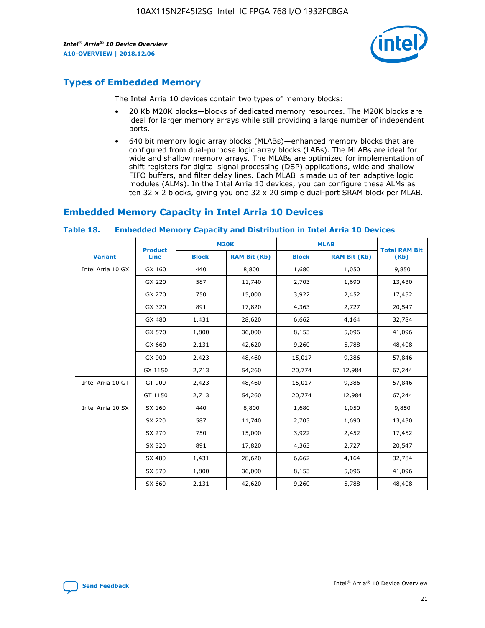

### **Types of Embedded Memory**

The Intel Arria 10 devices contain two types of memory blocks:

- 20 Kb M20K blocks—blocks of dedicated memory resources. The M20K blocks are ideal for larger memory arrays while still providing a large number of independent ports.
- 640 bit memory logic array blocks (MLABs)—enhanced memory blocks that are configured from dual-purpose logic array blocks (LABs). The MLABs are ideal for wide and shallow memory arrays. The MLABs are optimized for implementation of shift registers for digital signal processing (DSP) applications, wide and shallow FIFO buffers, and filter delay lines. Each MLAB is made up of ten adaptive logic modules (ALMs). In the Intel Arria 10 devices, you can configure these ALMs as ten 32 x 2 blocks, giving you one 32 x 20 simple dual-port SRAM block per MLAB.

### **Embedded Memory Capacity in Intel Arria 10 Devices**

|                   | <b>Product</b> | <b>M20K</b>  |                     | <b>MLAB</b>  |                     | <b>Total RAM Bit</b> |
|-------------------|----------------|--------------|---------------------|--------------|---------------------|----------------------|
| <b>Variant</b>    | <b>Line</b>    | <b>Block</b> | <b>RAM Bit (Kb)</b> | <b>Block</b> | <b>RAM Bit (Kb)</b> | (Kb)                 |
| Intel Arria 10 GX | GX 160         | 440          | 8,800               | 1,680        | 1,050               | 9,850                |
|                   | GX 220         | 587          | 11,740              | 2,703        | 1,690               | 13,430               |
|                   | GX 270         | 750          | 15,000              | 3,922        | 2,452               | 17,452               |
|                   | GX 320         | 891          | 17,820              | 4,363        | 2,727               | 20,547               |
|                   | GX 480         | 1,431        | 28,620              | 6,662        | 4,164               | 32,784               |
|                   | GX 570         | 1,800        | 36,000              | 8,153        | 5,096               | 41,096               |
|                   | GX 660         | 2,131        | 42,620              | 9,260        | 5,788               | 48,408               |
|                   | GX 900         | 2,423        | 48,460              | 15,017       | 9,386               | 57,846               |
|                   | GX 1150        | 2,713        | 54,260              | 20,774       | 12,984              | 67,244               |
| Intel Arria 10 GT | GT 900         | 2,423        | 48,460              | 15,017       | 9,386               | 57,846               |
|                   | GT 1150        | 2,713        | 54,260              | 20,774       | 12,984              | 67,244               |
| Intel Arria 10 SX | SX 160         | 440          | 8,800               | 1,680        | 1,050               | 9,850                |
|                   | SX 220         | 587          | 11,740              | 2,703        | 1,690               | 13,430               |
|                   | SX 270         | 750          | 15,000              | 3,922        | 2,452               | 17,452               |
|                   | SX 320         | 891          | 17,820              | 4,363        | 2,727               | 20,547               |
|                   | SX 480         | 1,431        | 28,620              | 6,662        | 4,164               | 32,784               |
|                   | SX 570         | 1,800        | 36,000              | 8,153        | 5,096               | 41,096               |
|                   | SX 660         | 2,131        | 42,620              | 9,260        | 5,788               | 48,408               |

#### **Table 18. Embedded Memory Capacity and Distribution in Intel Arria 10 Devices**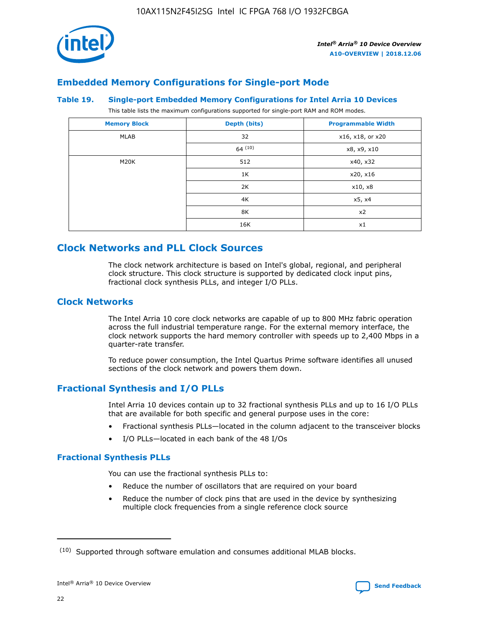

### **Embedded Memory Configurations for Single-port Mode**

#### **Table 19. Single-port Embedded Memory Configurations for Intel Arria 10 Devices**

This table lists the maximum configurations supported for single-port RAM and ROM modes.

| <b>Memory Block</b> | Depth (bits) | <b>Programmable Width</b> |
|---------------------|--------------|---------------------------|
| MLAB                | 32           | x16, x18, or x20          |
|                     | 64(10)       | x8, x9, x10               |
| M20K                | 512          | x40, x32                  |
|                     | 1K           | x20, x16                  |
|                     | 2K           | x10, x8                   |
|                     | 4K           | x5, x4                    |
|                     | 8K           | x2                        |
|                     | 16K          | x1                        |

### **Clock Networks and PLL Clock Sources**

The clock network architecture is based on Intel's global, regional, and peripheral clock structure. This clock structure is supported by dedicated clock input pins, fractional clock synthesis PLLs, and integer I/O PLLs.

### **Clock Networks**

The Intel Arria 10 core clock networks are capable of up to 800 MHz fabric operation across the full industrial temperature range. For the external memory interface, the clock network supports the hard memory controller with speeds up to 2,400 Mbps in a quarter-rate transfer.

To reduce power consumption, the Intel Quartus Prime software identifies all unused sections of the clock network and powers them down.

### **Fractional Synthesis and I/O PLLs**

Intel Arria 10 devices contain up to 32 fractional synthesis PLLs and up to 16 I/O PLLs that are available for both specific and general purpose uses in the core:

- Fractional synthesis PLLs—located in the column adjacent to the transceiver blocks
- I/O PLLs—located in each bank of the 48 I/Os

### **Fractional Synthesis PLLs**

You can use the fractional synthesis PLLs to:

- Reduce the number of oscillators that are required on your board
- Reduce the number of clock pins that are used in the device by synthesizing multiple clock frequencies from a single reference clock source

<sup>(10)</sup> Supported through software emulation and consumes additional MLAB blocks.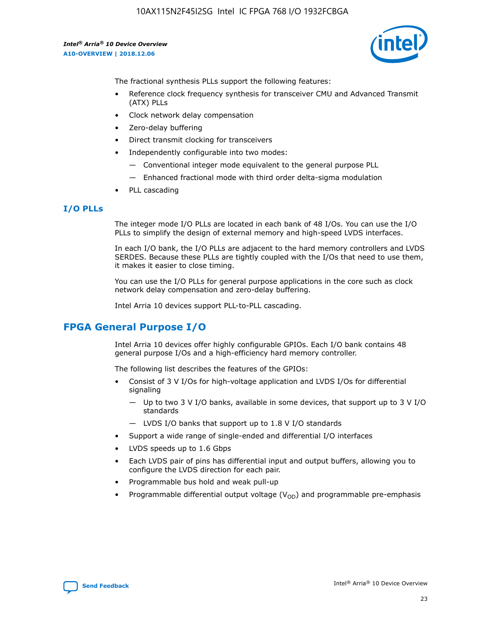10AX115N2F45I2SG Intel IC FPGA 768 I/O 1932FCBGA

*Intel® Arria® 10 Device Overview* **A10-OVERVIEW | 2018.12.06**



The fractional synthesis PLLs support the following features:

- Reference clock frequency synthesis for transceiver CMU and Advanced Transmit (ATX) PLLs
- Clock network delay compensation
- Zero-delay buffering
- Direct transmit clocking for transceivers
- Independently configurable into two modes:
	- Conventional integer mode equivalent to the general purpose PLL
	- Enhanced fractional mode with third order delta-sigma modulation
- PLL cascading

### **I/O PLLs**

The integer mode I/O PLLs are located in each bank of 48 I/Os. You can use the I/O PLLs to simplify the design of external memory and high-speed LVDS interfaces.

In each I/O bank, the I/O PLLs are adjacent to the hard memory controllers and LVDS SERDES. Because these PLLs are tightly coupled with the I/Os that need to use them, it makes it easier to close timing.

You can use the I/O PLLs for general purpose applications in the core such as clock network delay compensation and zero-delay buffering.

Intel Arria 10 devices support PLL-to-PLL cascading.

### **FPGA General Purpose I/O**

Intel Arria 10 devices offer highly configurable GPIOs. Each I/O bank contains 48 general purpose I/Os and a high-efficiency hard memory controller.

The following list describes the features of the GPIOs:

- Consist of 3 V I/Os for high-voltage application and LVDS I/Os for differential signaling
	- Up to two 3 V I/O banks, available in some devices, that support up to 3 V I/O standards
	- LVDS I/O banks that support up to 1.8 V I/O standards
- Support a wide range of single-ended and differential I/O interfaces
- LVDS speeds up to 1.6 Gbps
- Each LVDS pair of pins has differential input and output buffers, allowing you to configure the LVDS direction for each pair.
- Programmable bus hold and weak pull-up
- Programmable differential output voltage  $(V_{OD})$  and programmable pre-emphasis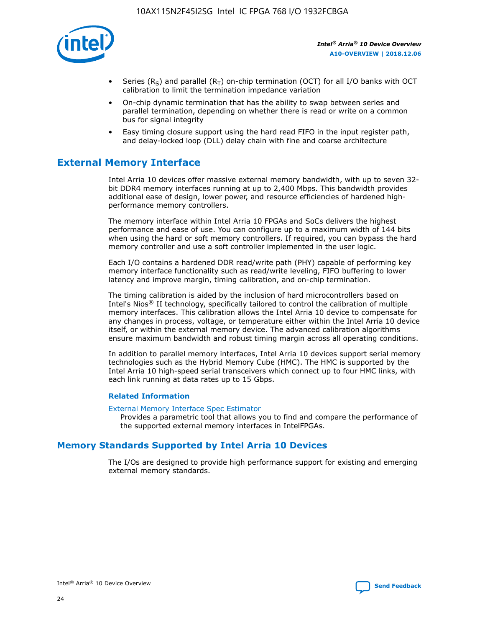

- Series (R<sub>S</sub>) and parallel (R<sub>T</sub>) on-chip termination (OCT) for all I/O banks with OCT calibration to limit the termination impedance variation
- On-chip dynamic termination that has the ability to swap between series and parallel termination, depending on whether there is read or write on a common bus for signal integrity
- Easy timing closure support using the hard read FIFO in the input register path, and delay-locked loop (DLL) delay chain with fine and coarse architecture

### **External Memory Interface**

Intel Arria 10 devices offer massive external memory bandwidth, with up to seven 32 bit DDR4 memory interfaces running at up to 2,400 Mbps. This bandwidth provides additional ease of design, lower power, and resource efficiencies of hardened highperformance memory controllers.

The memory interface within Intel Arria 10 FPGAs and SoCs delivers the highest performance and ease of use. You can configure up to a maximum width of 144 bits when using the hard or soft memory controllers. If required, you can bypass the hard memory controller and use a soft controller implemented in the user logic.

Each I/O contains a hardened DDR read/write path (PHY) capable of performing key memory interface functionality such as read/write leveling, FIFO buffering to lower latency and improve margin, timing calibration, and on-chip termination.

The timing calibration is aided by the inclusion of hard microcontrollers based on Intel's Nios® II technology, specifically tailored to control the calibration of multiple memory interfaces. This calibration allows the Intel Arria 10 device to compensate for any changes in process, voltage, or temperature either within the Intel Arria 10 device itself, or within the external memory device. The advanced calibration algorithms ensure maximum bandwidth and robust timing margin across all operating conditions.

In addition to parallel memory interfaces, Intel Arria 10 devices support serial memory technologies such as the Hybrid Memory Cube (HMC). The HMC is supported by the Intel Arria 10 high-speed serial transceivers which connect up to four HMC links, with each link running at data rates up to 15 Gbps.

### **Related Information**

#### [External Memory Interface Spec Estimator](http://www.altera.com/technology/memory/estimator/mem-emif-index.html)

Provides a parametric tool that allows you to find and compare the performance of the supported external memory interfaces in IntelFPGAs.

### **Memory Standards Supported by Intel Arria 10 Devices**

The I/Os are designed to provide high performance support for existing and emerging external memory standards.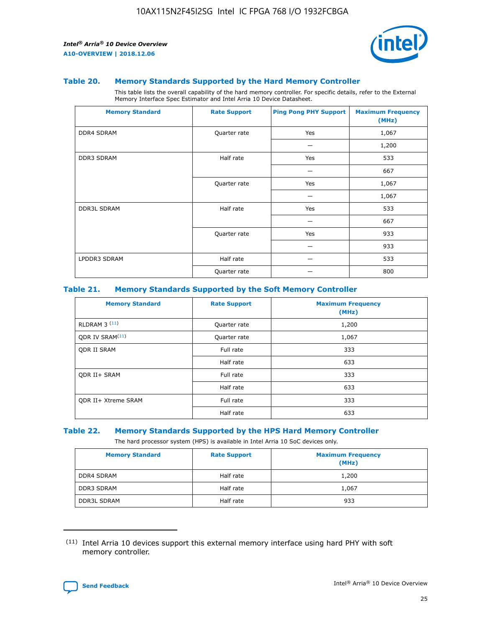

#### **Table 20. Memory Standards Supported by the Hard Memory Controller**

This table lists the overall capability of the hard memory controller. For specific details, refer to the External Memory Interface Spec Estimator and Intel Arria 10 Device Datasheet.

| <b>Memory Standard</b> | <b>Rate Support</b> | <b>Ping Pong PHY Support</b> | <b>Maximum Frequency</b><br>(MHz) |
|------------------------|---------------------|------------------------------|-----------------------------------|
| <b>DDR4 SDRAM</b>      | Quarter rate        | Yes                          | 1,067                             |
|                        |                     |                              | 1,200                             |
| DDR3 SDRAM             | Half rate           | Yes                          | 533                               |
|                        |                     |                              | 667                               |
|                        | Quarter rate        | Yes                          | 1,067                             |
|                        |                     |                              | 1,067                             |
| <b>DDR3L SDRAM</b>     | Half rate           | Yes                          | 533                               |
|                        |                     |                              | 667                               |
|                        | Quarter rate        | Yes                          | 933                               |
|                        |                     |                              | 933                               |
| LPDDR3 SDRAM           | Half rate           |                              | 533                               |
|                        | Quarter rate        |                              | 800                               |

### **Table 21. Memory Standards Supported by the Soft Memory Controller**

| <b>Memory Standard</b>      | <b>Rate Support</b> | <b>Maximum Frequency</b><br>(MHz) |
|-----------------------------|---------------------|-----------------------------------|
| <b>RLDRAM 3 (11)</b>        | Quarter rate        | 1,200                             |
| QDR IV SRAM <sup>(11)</sup> | Quarter rate        | 1,067                             |
| <b>ODR II SRAM</b>          | Full rate           | 333                               |
|                             | Half rate           | 633                               |
| <b>ODR II+ SRAM</b>         | Full rate           | 333                               |
|                             | Half rate           | 633                               |
| <b>QDR II+ Xtreme SRAM</b>  | Full rate           | 333                               |
|                             | Half rate           | 633                               |

#### **Table 22. Memory Standards Supported by the HPS Hard Memory Controller**

The hard processor system (HPS) is available in Intel Arria 10 SoC devices only.

| <b>Memory Standard</b> | <b>Rate Support</b> | <b>Maximum Frequency</b><br>(MHz) |
|------------------------|---------------------|-----------------------------------|
| <b>DDR4 SDRAM</b>      | Half rate           | 1,200                             |
| <b>DDR3 SDRAM</b>      | Half rate           | 1,067                             |
| <b>DDR3L SDRAM</b>     | Half rate           | 933                               |

<sup>(11)</sup> Intel Arria 10 devices support this external memory interface using hard PHY with soft memory controller.

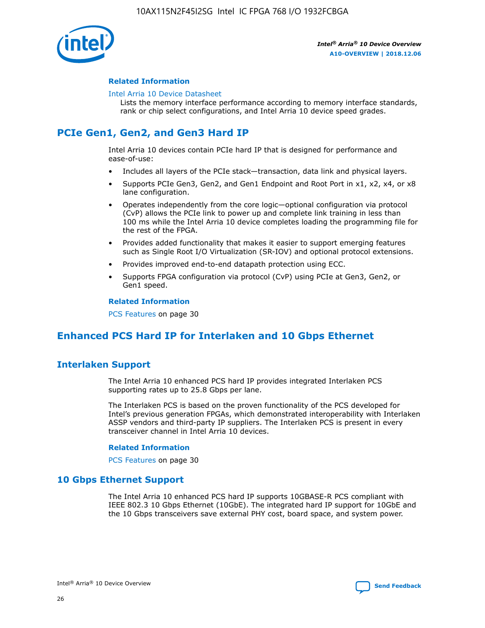

### **Related Information**

#### [Intel Arria 10 Device Datasheet](https://www.intel.com/content/www/us/en/programmable/documentation/mcn1413182292568.html#mcn1413182153340)

Lists the memory interface performance according to memory interface standards, rank or chip select configurations, and Intel Arria 10 device speed grades.

### **PCIe Gen1, Gen2, and Gen3 Hard IP**

Intel Arria 10 devices contain PCIe hard IP that is designed for performance and ease-of-use:

- Includes all layers of the PCIe stack—transaction, data link and physical layers.
- Supports PCIe Gen3, Gen2, and Gen1 Endpoint and Root Port in x1, x2, x4, or x8 lane configuration.
- Operates independently from the core logic—optional configuration via protocol (CvP) allows the PCIe link to power up and complete link training in less than 100 ms while the Intel Arria 10 device completes loading the programming file for the rest of the FPGA.
- Provides added functionality that makes it easier to support emerging features such as Single Root I/O Virtualization (SR-IOV) and optional protocol extensions.
- Provides improved end-to-end datapath protection using ECC.
- Supports FPGA configuration via protocol (CvP) using PCIe at Gen3, Gen2, or Gen1 speed.

#### **Related Information**

PCS Features on page 30

### **Enhanced PCS Hard IP for Interlaken and 10 Gbps Ethernet**

### **Interlaken Support**

The Intel Arria 10 enhanced PCS hard IP provides integrated Interlaken PCS supporting rates up to 25.8 Gbps per lane.

The Interlaken PCS is based on the proven functionality of the PCS developed for Intel's previous generation FPGAs, which demonstrated interoperability with Interlaken ASSP vendors and third-party IP suppliers. The Interlaken PCS is present in every transceiver channel in Intel Arria 10 devices.

### **Related Information**

PCS Features on page 30

### **10 Gbps Ethernet Support**

The Intel Arria 10 enhanced PCS hard IP supports 10GBASE-R PCS compliant with IEEE 802.3 10 Gbps Ethernet (10GbE). The integrated hard IP support for 10GbE and the 10 Gbps transceivers save external PHY cost, board space, and system power.

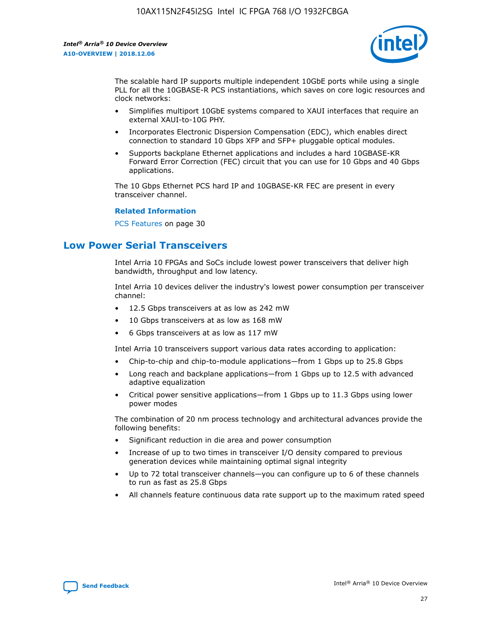

The scalable hard IP supports multiple independent 10GbE ports while using a single PLL for all the 10GBASE-R PCS instantiations, which saves on core logic resources and clock networks:

- Simplifies multiport 10GbE systems compared to XAUI interfaces that require an external XAUI-to-10G PHY.
- Incorporates Electronic Dispersion Compensation (EDC), which enables direct connection to standard 10 Gbps XFP and SFP+ pluggable optical modules.
- Supports backplane Ethernet applications and includes a hard 10GBASE-KR Forward Error Correction (FEC) circuit that you can use for 10 Gbps and 40 Gbps applications.

The 10 Gbps Ethernet PCS hard IP and 10GBASE-KR FEC are present in every transceiver channel.

#### **Related Information**

PCS Features on page 30

### **Low Power Serial Transceivers**

Intel Arria 10 FPGAs and SoCs include lowest power transceivers that deliver high bandwidth, throughput and low latency.

Intel Arria 10 devices deliver the industry's lowest power consumption per transceiver channel:

- 12.5 Gbps transceivers at as low as 242 mW
- 10 Gbps transceivers at as low as 168 mW
- 6 Gbps transceivers at as low as 117 mW

Intel Arria 10 transceivers support various data rates according to application:

- Chip-to-chip and chip-to-module applications—from 1 Gbps up to 25.8 Gbps
- Long reach and backplane applications—from 1 Gbps up to 12.5 with advanced adaptive equalization
- Critical power sensitive applications—from 1 Gbps up to 11.3 Gbps using lower power modes

The combination of 20 nm process technology and architectural advances provide the following benefits:

- Significant reduction in die area and power consumption
- Increase of up to two times in transceiver I/O density compared to previous generation devices while maintaining optimal signal integrity
- Up to 72 total transceiver channels—you can configure up to 6 of these channels to run as fast as 25.8 Gbps
- All channels feature continuous data rate support up to the maximum rated speed

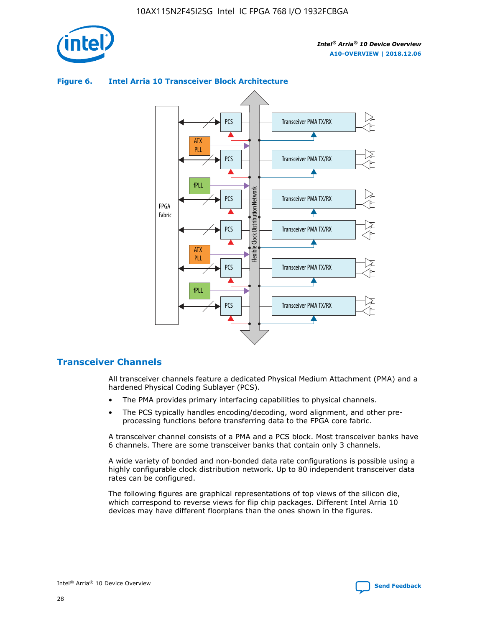



### **Figure 6. Intel Arria 10 Transceiver Block Architecture**

### **Transceiver Channels**

All transceiver channels feature a dedicated Physical Medium Attachment (PMA) and a hardened Physical Coding Sublayer (PCS).

- The PMA provides primary interfacing capabilities to physical channels.
- The PCS typically handles encoding/decoding, word alignment, and other preprocessing functions before transferring data to the FPGA core fabric.

A transceiver channel consists of a PMA and a PCS block. Most transceiver banks have 6 channels. There are some transceiver banks that contain only 3 channels.

A wide variety of bonded and non-bonded data rate configurations is possible using a highly configurable clock distribution network. Up to 80 independent transceiver data rates can be configured.

The following figures are graphical representations of top views of the silicon die, which correspond to reverse views for flip chip packages. Different Intel Arria 10 devices may have different floorplans than the ones shown in the figures.

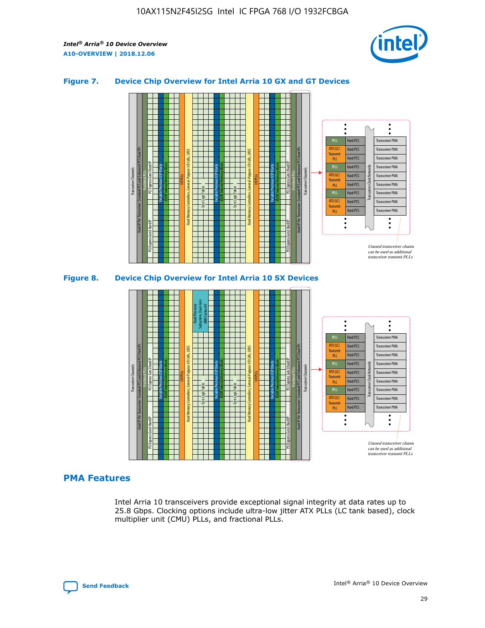

### **Figure 7. Device Chip Overview for Intel Arria 10 GX and GT Devices**





### **PMA Features**

Intel Arria 10 transceivers provide exceptional signal integrity at data rates up to 25.8 Gbps. Clocking options include ultra-low jitter ATX PLLs (LC tank based), clock multiplier unit (CMU) PLLs, and fractional PLLs.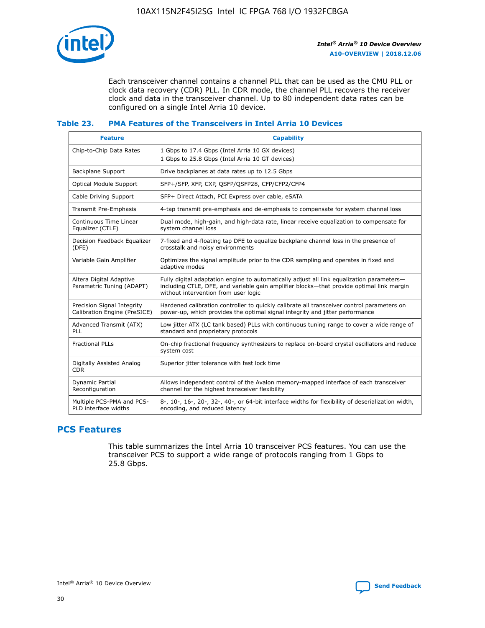

Each transceiver channel contains a channel PLL that can be used as the CMU PLL or clock data recovery (CDR) PLL. In CDR mode, the channel PLL recovers the receiver clock and data in the transceiver channel. Up to 80 independent data rates can be configured on a single Intel Arria 10 device.

### **Table 23. PMA Features of the Transceivers in Intel Arria 10 Devices**

| <b>Feature</b>                                             | <b>Capability</b>                                                                                                                                                                                                             |
|------------------------------------------------------------|-------------------------------------------------------------------------------------------------------------------------------------------------------------------------------------------------------------------------------|
| Chip-to-Chip Data Rates                                    | 1 Gbps to 17.4 Gbps (Intel Arria 10 GX devices)<br>1 Gbps to 25.8 Gbps (Intel Arria 10 GT devices)                                                                                                                            |
| Backplane Support                                          | Drive backplanes at data rates up to 12.5 Gbps                                                                                                                                                                                |
| Optical Module Support                                     | SFP+/SFP, XFP, CXP, QSFP/QSFP28, CFP/CFP2/CFP4                                                                                                                                                                                |
| Cable Driving Support                                      | SFP+ Direct Attach, PCI Express over cable, eSATA                                                                                                                                                                             |
| Transmit Pre-Emphasis                                      | 4-tap transmit pre-emphasis and de-emphasis to compensate for system channel loss                                                                                                                                             |
| Continuous Time Linear<br>Equalizer (CTLE)                 | Dual mode, high-gain, and high-data rate, linear receive equalization to compensate for<br>system channel loss                                                                                                                |
| Decision Feedback Equalizer<br>(DFE)                       | 7-fixed and 4-floating tap DFE to equalize backplane channel loss in the presence of<br>crosstalk and noisy environments                                                                                                      |
| Variable Gain Amplifier                                    | Optimizes the signal amplitude prior to the CDR sampling and operates in fixed and<br>adaptive modes                                                                                                                          |
| Altera Digital Adaptive<br>Parametric Tuning (ADAPT)       | Fully digital adaptation engine to automatically adjust all link equalization parameters-<br>including CTLE, DFE, and variable gain amplifier blocks—that provide optimal link margin<br>without intervention from user logic |
| Precision Signal Integrity<br>Calibration Engine (PreSICE) | Hardened calibration controller to quickly calibrate all transceiver control parameters on<br>power-up, which provides the optimal signal integrity and jitter performance                                                    |
| Advanced Transmit (ATX)<br><b>PLL</b>                      | Low jitter ATX (LC tank based) PLLs with continuous tuning range to cover a wide range of<br>standard and proprietary protocols                                                                                               |
| <b>Fractional PLLs</b>                                     | On-chip fractional frequency synthesizers to replace on-board crystal oscillators and reduce<br>system cost                                                                                                                   |
| Digitally Assisted Analog<br><b>CDR</b>                    | Superior jitter tolerance with fast lock time                                                                                                                                                                                 |
| Dynamic Partial<br>Reconfiguration                         | Allows independent control of the Avalon memory-mapped interface of each transceiver<br>channel for the highest transceiver flexibility                                                                                       |
| Multiple PCS-PMA and PCS-<br>PLD interface widths          | 8-, 10-, 16-, 20-, 32-, 40-, or 64-bit interface widths for flexibility of deserialization width,<br>encoding, and reduced latency                                                                                            |

### **PCS Features**

This table summarizes the Intel Arria 10 transceiver PCS features. You can use the transceiver PCS to support a wide range of protocols ranging from 1 Gbps to 25.8 Gbps.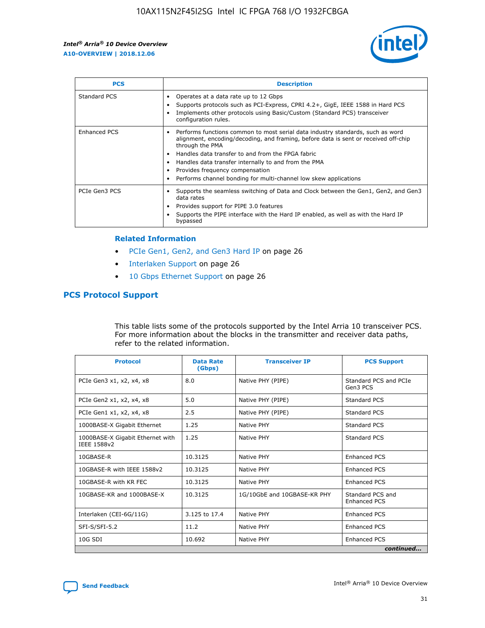

| <b>PCS</b>    | <b>Description</b>                                                                                                                                                                                                                                                                                                                                                                                             |
|---------------|----------------------------------------------------------------------------------------------------------------------------------------------------------------------------------------------------------------------------------------------------------------------------------------------------------------------------------------------------------------------------------------------------------------|
| Standard PCS  | Operates at a data rate up to 12 Gbps<br>Supports protocols such as PCI-Express, CPRI 4.2+, GigE, IEEE 1588 in Hard PCS<br>Implements other protocols using Basic/Custom (Standard PCS) transceiver<br>configuration rules.                                                                                                                                                                                    |
| Enhanced PCS  | Performs functions common to most serial data industry standards, such as word<br>alignment, encoding/decoding, and framing, before data is sent or received off-chip<br>through the PMA<br>• Handles data transfer to and from the FPGA fabric<br>Handles data transfer internally to and from the PMA<br>Provides frequency compensation<br>Performs channel bonding for multi-channel low skew applications |
| PCIe Gen3 PCS | Supports the seamless switching of Data and Clock between the Gen1, Gen2, and Gen3<br>data rates<br>Provides support for PIPE 3.0 features<br>Supports the PIPE interface with the Hard IP enabled, as well as with the Hard IP<br>bypassed                                                                                                                                                                    |

#### **Related Information**

- PCIe Gen1, Gen2, and Gen3 Hard IP on page 26
- Interlaken Support on page 26
- 10 Gbps Ethernet Support on page 26

### **PCS Protocol Support**

This table lists some of the protocols supported by the Intel Arria 10 transceiver PCS. For more information about the blocks in the transmitter and receiver data paths, refer to the related information.

| <b>Protocol</b>                                 | <b>Data Rate</b><br>(Gbps) | <b>Transceiver IP</b>       | <b>PCS Support</b>                      |
|-------------------------------------------------|----------------------------|-----------------------------|-----------------------------------------|
| PCIe Gen3 x1, x2, x4, x8                        | 8.0                        | Native PHY (PIPE)           | Standard PCS and PCIe<br>Gen3 PCS       |
| PCIe Gen2 x1, x2, x4, x8                        | 5.0                        | Native PHY (PIPE)           | <b>Standard PCS</b>                     |
| PCIe Gen1 x1, x2, x4, x8                        | 2.5                        | Native PHY (PIPE)           | Standard PCS                            |
| 1000BASE-X Gigabit Ethernet                     | 1.25                       | Native PHY                  | <b>Standard PCS</b>                     |
| 1000BASE-X Gigabit Ethernet with<br>IEEE 1588v2 | 1.25                       | Native PHY                  | Standard PCS                            |
| 10GBASE-R                                       | 10.3125                    | Native PHY                  | Enhanced PCS                            |
| 10GBASE-R with IEEE 1588v2                      | 10.3125                    | Native PHY                  | <b>Enhanced PCS</b>                     |
| 10GBASE-R with KR FEC                           | 10.3125                    | Native PHY                  | Enhanced PCS                            |
| 10GBASE-KR and 1000BASE-X                       | 10.3125                    | 1G/10GbE and 10GBASE-KR PHY | Standard PCS and<br><b>Enhanced PCS</b> |
| Interlaken (CEI-6G/11G)                         | 3.125 to 17.4              | Native PHY                  | <b>Enhanced PCS</b>                     |
| SFI-S/SFI-5.2                                   | 11.2                       | Native PHY                  | <b>Enhanced PCS</b>                     |
| 10G SDI                                         | 10.692                     | Native PHY                  | Enhanced PCS                            |
|                                                 |                            |                             | continued                               |

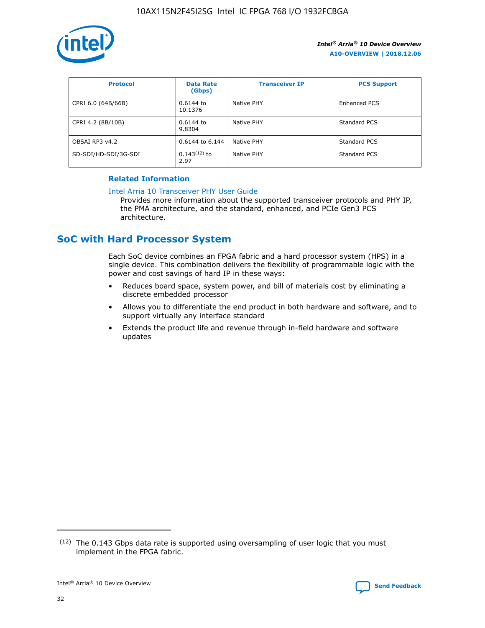

| <b>Protocol</b>      | <b>Data Rate</b><br>(Gbps) | <b>Transceiver IP</b> | <b>PCS Support</b> |
|----------------------|----------------------------|-----------------------|--------------------|
| CPRI 6.0 (64B/66B)   | 0.6144 to<br>10.1376       | Native PHY            | Enhanced PCS       |
| CPRI 4.2 (8B/10B)    | $0.6144$ to<br>9.8304      | Native PHY            | Standard PCS       |
| OBSAI RP3 v4.2       | 0.6144 to 6.144            | Native PHY            | Standard PCS       |
| SD-SDI/HD-SDI/3G-SDI | $0.143(12)$ to<br>2.97     | Native PHY            | Standard PCS       |

### **Related Information**

#### [Intel Arria 10 Transceiver PHY User Guide](https://www.intel.com/content/www/us/en/programmable/documentation/nik1398707230472.html#nik1398707091164)

Provides more information about the supported transceiver protocols and PHY IP, the PMA architecture, and the standard, enhanced, and PCIe Gen3 PCS architecture.

### **SoC with Hard Processor System**

Each SoC device combines an FPGA fabric and a hard processor system (HPS) in a single device. This combination delivers the flexibility of programmable logic with the power and cost savings of hard IP in these ways:

- Reduces board space, system power, and bill of materials cost by eliminating a discrete embedded processor
- Allows you to differentiate the end product in both hardware and software, and to support virtually any interface standard
- Extends the product life and revenue through in-field hardware and software updates

 $(12)$  The 0.143 Gbps data rate is supported using oversampling of user logic that you must implement in the FPGA fabric.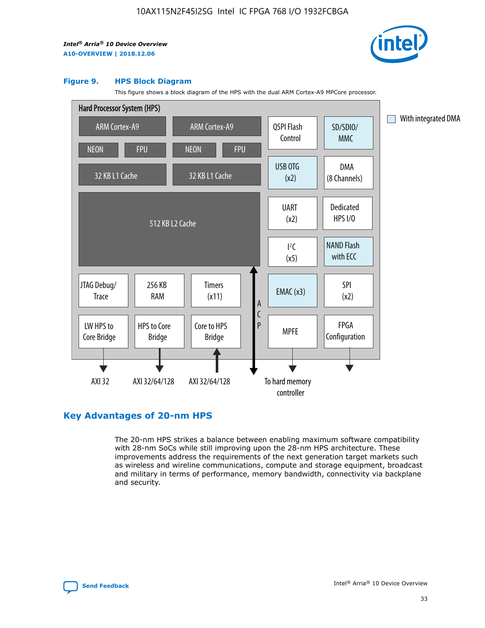

#### **Figure 9. HPS Block Diagram**

This figure shows a block diagram of the HPS with the dual ARM Cortex-A9 MPCore processor.



### **Key Advantages of 20-nm HPS**

The 20-nm HPS strikes a balance between enabling maximum software compatibility with 28-nm SoCs while still improving upon the 28-nm HPS architecture. These improvements address the requirements of the next generation target markets such as wireless and wireline communications, compute and storage equipment, broadcast and military in terms of performance, memory bandwidth, connectivity via backplane and security.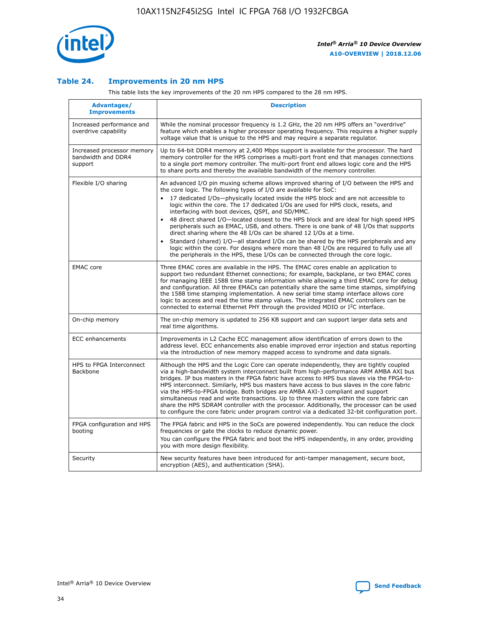

### **Table 24. Improvements in 20 nm HPS**

This table lists the key improvements of the 20 nm HPS compared to the 28 nm HPS.

| Advantages/<br><b>Improvements</b>                          | <b>Description</b>                                                                                                                                                                                                                                                                                                                                                                                                                                                                                                                                                                                                                                                                                                                                                                                                                                                                                                      |
|-------------------------------------------------------------|-------------------------------------------------------------------------------------------------------------------------------------------------------------------------------------------------------------------------------------------------------------------------------------------------------------------------------------------------------------------------------------------------------------------------------------------------------------------------------------------------------------------------------------------------------------------------------------------------------------------------------------------------------------------------------------------------------------------------------------------------------------------------------------------------------------------------------------------------------------------------------------------------------------------------|
| Increased performance and<br>overdrive capability           | While the nominal processor frequency is 1.2 GHz, the 20 nm HPS offers an "overdrive"<br>feature which enables a higher processor operating frequency. This requires a higher supply<br>voltage value that is unique to the HPS and may require a separate regulator.                                                                                                                                                                                                                                                                                                                                                                                                                                                                                                                                                                                                                                                   |
| Increased processor memory<br>bandwidth and DDR4<br>support | Up to 64-bit DDR4 memory at 2,400 Mbps support is available for the processor. The hard<br>memory controller for the HPS comprises a multi-port front end that manages connections<br>to a single port memory controller. The multi-port front end allows logic core and the HPS<br>to share ports and thereby the available bandwidth of the memory controller.                                                                                                                                                                                                                                                                                                                                                                                                                                                                                                                                                        |
| Flexible I/O sharing                                        | An advanced I/O pin muxing scheme allows improved sharing of I/O between the HPS and<br>the core logic. The following types of I/O are available for SoC:<br>17 dedicated I/Os-physically located inside the HPS block and are not accessible to<br>logic within the core. The 17 dedicated I/Os are used for HPS clock, resets, and<br>interfacing with boot devices, QSPI, and SD/MMC.<br>48 direct shared I/O-located closest to the HPS block and are ideal for high speed HPS<br>peripherals such as EMAC, USB, and others. There is one bank of 48 I/Os that supports<br>direct sharing where the 48 I/Os can be shared 12 I/Os at a time.<br>Standard (shared) I/O—all standard I/Os can be shared by the HPS peripherals and any<br>logic within the core. For designs where more than 48 I/Os are required to fully use all<br>the peripherals in the HPS, these I/Os can be connected through the core logic. |
| <b>EMAC</b> core                                            | Three EMAC cores are available in the HPS. The EMAC cores enable an application to<br>support two redundant Ethernet connections; for example, backplane, or two EMAC cores<br>for managing IEEE 1588 time stamp information while allowing a third EMAC core for debug<br>and configuration. All three EMACs can potentially share the same time stamps, simplifying<br>the 1588 time stamping implementation. A new serial time stamp interface allows core<br>logic to access and read the time stamp values. The integrated EMAC controllers can be<br>connected to external Ethernet PHY through the provided MDIO or I <sup>2</sup> C interface.                                                                                                                                                                                                                                                                  |
| On-chip memory                                              | The on-chip memory is updated to 256 KB support and can support larger data sets and<br>real time algorithms.                                                                                                                                                                                                                                                                                                                                                                                                                                                                                                                                                                                                                                                                                                                                                                                                           |
| <b>ECC</b> enhancements                                     | Improvements in L2 Cache ECC management allow identification of errors down to the<br>address level. ECC enhancements also enable improved error injection and status reporting<br>via the introduction of new memory mapped access to syndrome and data signals.                                                                                                                                                                                                                                                                                                                                                                                                                                                                                                                                                                                                                                                       |
| HPS to FPGA Interconnect<br><b>Backbone</b>                 | Although the HPS and the Logic Core can operate independently, they are tightly coupled<br>via a high-bandwidth system interconnect built from high-performance ARM AMBA AXI bus<br>bridges. IP bus masters in the FPGA fabric have access to HPS bus slaves via the FPGA-to-<br>HPS interconnect. Similarly, HPS bus masters have access to bus slaves in the core fabric<br>via the HPS-to-FPGA bridge. Both bridges are AMBA AXI-3 compliant and support<br>simultaneous read and write transactions. Up to three masters within the core fabric can<br>share the HPS SDRAM controller with the processor. Additionally, the processor can be used<br>to configure the core fabric under program control via a dedicated 32-bit configuration port.                                                                                                                                                                  |
| FPGA configuration and HPS<br>booting                       | The FPGA fabric and HPS in the SoCs are powered independently. You can reduce the clock<br>frequencies or gate the clocks to reduce dynamic power.<br>You can configure the FPGA fabric and boot the HPS independently, in any order, providing<br>you with more design flexibility.                                                                                                                                                                                                                                                                                                                                                                                                                                                                                                                                                                                                                                    |
| Security                                                    | New security features have been introduced for anti-tamper management, secure boot,<br>encryption (AES), and authentication (SHA).                                                                                                                                                                                                                                                                                                                                                                                                                                                                                                                                                                                                                                                                                                                                                                                      |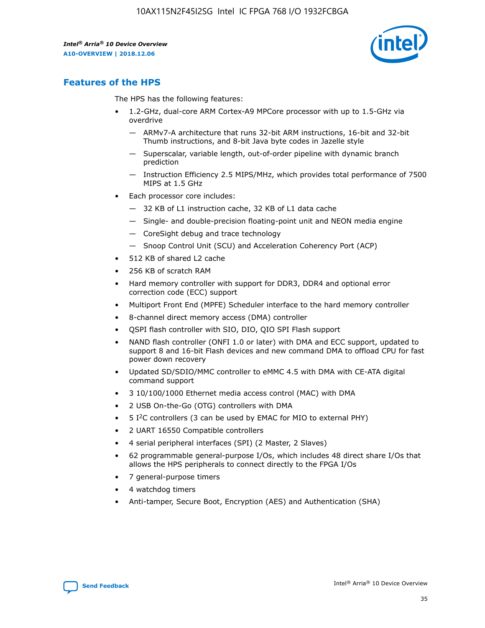

### **Features of the HPS**

The HPS has the following features:

- 1.2-GHz, dual-core ARM Cortex-A9 MPCore processor with up to 1.5-GHz via overdrive
	- ARMv7-A architecture that runs 32-bit ARM instructions, 16-bit and 32-bit Thumb instructions, and 8-bit Java byte codes in Jazelle style
	- Superscalar, variable length, out-of-order pipeline with dynamic branch prediction
	- Instruction Efficiency 2.5 MIPS/MHz, which provides total performance of 7500 MIPS at 1.5 GHz
- Each processor core includes:
	- 32 KB of L1 instruction cache, 32 KB of L1 data cache
	- Single- and double-precision floating-point unit and NEON media engine
	- CoreSight debug and trace technology
	- Snoop Control Unit (SCU) and Acceleration Coherency Port (ACP)
- 512 KB of shared L2 cache
- 256 KB of scratch RAM
- Hard memory controller with support for DDR3, DDR4 and optional error correction code (ECC) support
- Multiport Front End (MPFE) Scheduler interface to the hard memory controller
- 8-channel direct memory access (DMA) controller
- QSPI flash controller with SIO, DIO, QIO SPI Flash support
- NAND flash controller (ONFI 1.0 or later) with DMA and ECC support, updated to support 8 and 16-bit Flash devices and new command DMA to offload CPU for fast power down recovery
- Updated SD/SDIO/MMC controller to eMMC 4.5 with DMA with CE-ATA digital command support
- 3 10/100/1000 Ethernet media access control (MAC) with DMA
- 2 USB On-the-Go (OTG) controllers with DMA
- $\bullet$  5 I<sup>2</sup>C controllers (3 can be used by EMAC for MIO to external PHY)
- 2 UART 16550 Compatible controllers
- 4 serial peripheral interfaces (SPI) (2 Master, 2 Slaves)
- 62 programmable general-purpose I/Os, which includes 48 direct share I/Os that allows the HPS peripherals to connect directly to the FPGA I/Os
- 7 general-purpose timers
- 4 watchdog timers
- Anti-tamper, Secure Boot, Encryption (AES) and Authentication (SHA)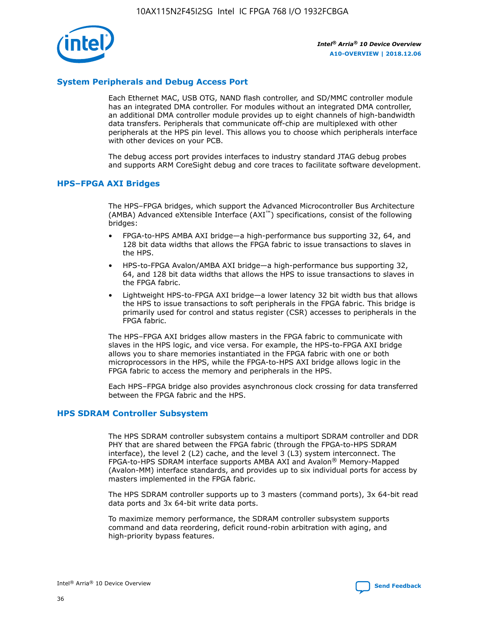

### **System Peripherals and Debug Access Port**

Each Ethernet MAC, USB OTG, NAND flash controller, and SD/MMC controller module has an integrated DMA controller. For modules without an integrated DMA controller, an additional DMA controller module provides up to eight channels of high-bandwidth data transfers. Peripherals that communicate off-chip are multiplexed with other peripherals at the HPS pin level. This allows you to choose which peripherals interface with other devices on your PCB.

The debug access port provides interfaces to industry standard JTAG debug probes and supports ARM CoreSight debug and core traces to facilitate software development.

### **HPS–FPGA AXI Bridges**

The HPS–FPGA bridges, which support the Advanced Microcontroller Bus Architecture (AMBA) Advanced eXtensible Interface (AXI™) specifications, consist of the following bridges:

- FPGA-to-HPS AMBA AXI bridge—a high-performance bus supporting 32, 64, and 128 bit data widths that allows the FPGA fabric to issue transactions to slaves in the HPS.
- HPS-to-FPGA Avalon/AMBA AXI bridge—a high-performance bus supporting 32, 64, and 128 bit data widths that allows the HPS to issue transactions to slaves in the FPGA fabric.
- Lightweight HPS-to-FPGA AXI bridge—a lower latency 32 bit width bus that allows the HPS to issue transactions to soft peripherals in the FPGA fabric. This bridge is primarily used for control and status register (CSR) accesses to peripherals in the FPGA fabric.

The HPS–FPGA AXI bridges allow masters in the FPGA fabric to communicate with slaves in the HPS logic, and vice versa. For example, the HPS-to-FPGA AXI bridge allows you to share memories instantiated in the FPGA fabric with one or both microprocessors in the HPS, while the FPGA-to-HPS AXI bridge allows logic in the FPGA fabric to access the memory and peripherals in the HPS.

Each HPS–FPGA bridge also provides asynchronous clock crossing for data transferred between the FPGA fabric and the HPS.

### **HPS SDRAM Controller Subsystem**

The HPS SDRAM controller subsystem contains a multiport SDRAM controller and DDR PHY that are shared between the FPGA fabric (through the FPGA-to-HPS SDRAM interface), the level 2 (L2) cache, and the level 3 (L3) system interconnect. The FPGA-to-HPS SDRAM interface supports AMBA AXI and Avalon® Memory-Mapped (Avalon-MM) interface standards, and provides up to six individual ports for access by masters implemented in the FPGA fabric.

The HPS SDRAM controller supports up to 3 masters (command ports), 3x 64-bit read data ports and 3x 64-bit write data ports.

To maximize memory performance, the SDRAM controller subsystem supports command and data reordering, deficit round-robin arbitration with aging, and high-priority bypass features.

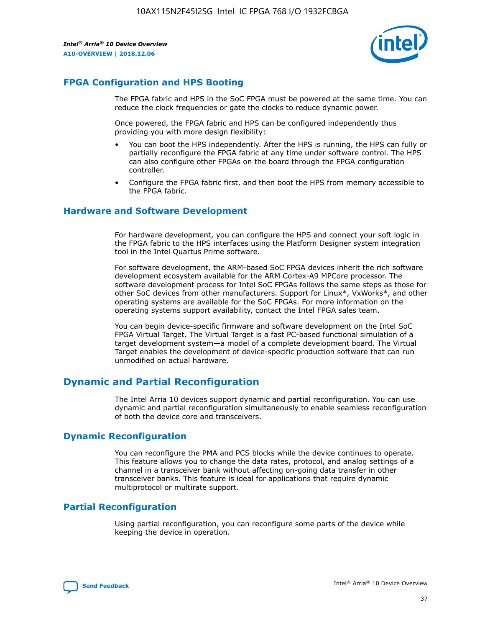

### **FPGA Configuration and HPS Booting**

The FPGA fabric and HPS in the SoC FPGA must be powered at the same time. You can reduce the clock frequencies or gate the clocks to reduce dynamic power.

Once powered, the FPGA fabric and HPS can be configured independently thus providing you with more design flexibility:

- You can boot the HPS independently. After the HPS is running, the HPS can fully or partially reconfigure the FPGA fabric at any time under software control. The HPS can also configure other FPGAs on the board through the FPGA configuration controller.
- Configure the FPGA fabric first, and then boot the HPS from memory accessible to the FPGA fabric.

### **Hardware and Software Development**

For hardware development, you can configure the HPS and connect your soft logic in the FPGA fabric to the HPS interfaces using the Platform Designer system integration tool in the Intel Quartus Prime software.

For software development, the ARM-based SoC FPGA devices inherit the rich software development ecosystem available for the ARM Cortex-A9 MPCore processor. The software development process for Intel SoC FPGAs follows the same steps as those for other SoC devices from other manufacturers. Support for Linux\*, VxWorks\*, and other operating systems are available for the SoC FPGAs. For more information on the operating systems support availability, contact the Intel FPGA sales team.

You can begin device-specific firmware and software development on the Intel SoC FPGA Virtual Target. The Virtual Target is a fast PC-based functional simulation of a target development system—a model of a complete development board. The Virtual Target enables the development of device-specific production software that can run unmodified on actual hardware.

### **Dynamic and Partial Reconfiguration**

The Intel Arria 10 devices support dynamic and partial reconfiguration. You can use dynamic and partial reconfiguration simultaneously to enable seamless reconfiguration of both the device core and transceivers.

### **Dynamic Reconfiguration**

You can reconfigure the PMA and PCS blocks while the device continues to operate. This feature allows you to change the data rates, protocol, and analog settings of a channel in a transceiver bank without affecting on-going data transfer in other transceiver banks. This feature is ideal for applications that require dynamic multiprotocol or multirate support.

### **Partial Reconfiguration**

Using partial reconfiguration, you can reconfigure some parts of the device while keeping the device in operation.

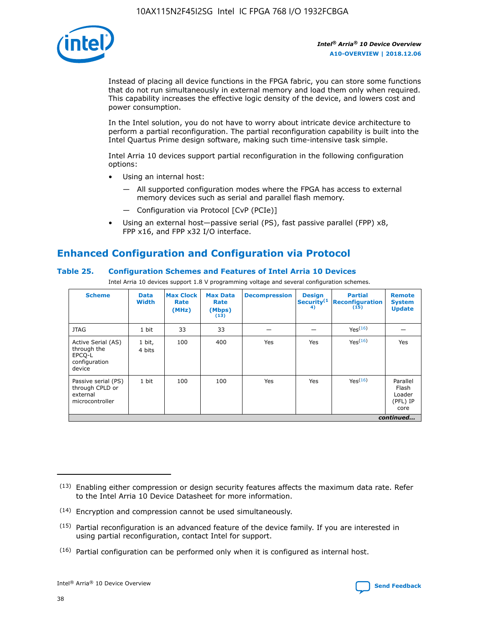

Instead of placing all device functions in the FPGA fabric, you can store some functions that do not run simultaneously in external memory and load them only when required. This capability increases the effective logic density of the device, and lowers cost and power consumption.

In the Intel solution, you do not have to worry about intricate device architecture to perform a partial reconfiguration. The partial reconfiguration capability is built into the Intel Quartus Prime design software, making such time-intensive task simple.

Intel Arria 10 devices support partial reconfiguration in the following configuration options:

- Using an internal host:
	- All supported configuration modes where the FPGA has access to external memory devices such as serial and parallel flash memory.
	- Configuration via Protocol [CvP (PCIe)]
- Using an external host—passive serial (PS), fast passive parallel (FPP) x8, FPP x16, and FPP x32 I/O interface.

### **Enhanced Configuration and Configuration via Protocol**

### **Table 25. Configuration Schemes and Features of Intel Arria 10 Devices**

Intel Arria 10 devices support 1.8 V programming voltage and several configuration schemes.

| <b>Scheme</b>                                                          | <b>Data</b><br><b>Width</b> | <b>Max Clock</b><br>Rate<br>(MHz) | <b>Max Data</b><br>Rate<br>(Mbps)<br>(13) | <b>Decompression</b> | <b>Design</b><br>Security <sup>(1</sup><br>4) | <b>Partial</b><br>Reconfiguration<br>(15) | <b>Remote</b><br><b>System</b><br><b>Update</b> |
|------------------------------------------------------------------------|-----------------------------|-----------------------------------|-------------------------------------------|----------------------|-----------------------------------------------|-------------------------------------------|-------------------------------------------------|
| <b>JTAG</b>                                                            | 1 bit                       | 33                                | 33                                        |                      |                                               | Yes <sup>(16)</sup>                       |                                                 |
| Active Serial (AS)<br>through the<br>EPCO-L<br>configuration<br>device | 1 bit,<br>4 bits            | 100                               | 400                                       | Yes                  | Yes                                           | $Y_{PS}(16)$                              | Yes                                             |
| Passive serial (PS)<br>through CPLD or<br>external<br>microcontroller  | 1 bit                       | 100                               | 100                                       | Yes                  | Yes                                           | Yes(16)                                   | Parallel<br>Flash<br>Loader<br>(PFL) IP<br>core |
|                                                                        |                             |                                   |                                           |                      |                                               |                                           | continued                                       |

<sup>(13)</sup> Enabling either compression or design security features affects the maximum data rate. Refer to the Intel Arria 10 Device Datasheet for more information.

<sup>(14)</sup> Encryption and compression cannot be used simultaneously.

 $(15)$  Partial reconfiguration is an advanced feature of the device family. If you are interested in using partial reconfiguration, contact Intel for support.

 $(16)$  Partial configuration can be performed only when it is configured as internal host.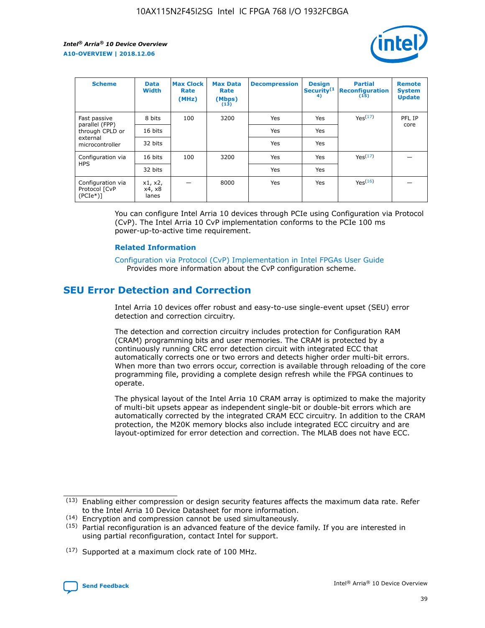

| <b>Scheme</b>                                    | <b>Data</b><br><b>Width</b> | <b>Max Clock</b><br>Rate<br>(MHz) | <b>Max Data</b><br>Rate<br>(Mbps)<br>(13) | <b>Decompression</b> | <b>Design</b><br>Security <sup>(1</sup><br>4) | <b>Partial</b><br><b>Reconfiguration</b><br>(15) | <b>Remote</b><br><b>System</b><br><b>Update</b> |
|--------------------------------------------------|-----------------------------|-----------------------------------|-------------------------------------------|----------------------|-----------------------------------------------|--------------------------------------------------|-------------------------------------------------|
| Fast passive                                     | 8 bits                      | 100                               | 3200                                      | Yes                  | Yes                                           | Yes(17)                                          | PFL IP                                          |
| parallel (FPP)<br>through CPLD or                | 16 bits                     |                                   |                                           | Yes                  | Yes                                           |                                                  | core                                            |
| external<br>microcontroller                      | 32 bits                     |                                   |                                           | Yes                  | Yes                                           |                                                  |                                                 |
| Configuration via                                | 16 bits                     | 100                               | 3200                                      | Yes                  | Yes                                           | Yes <sup>(17)</sup>                              |                                                 |
| <b>HPS</b>                                       | 32 bits                     |                                   |                                           | Yes                  | Yes                                           |                                                  |                                                 |
| Configuration via<br>Protocol [CvP<br>$(PCIe^*)$ | x1, x2,<br>x4, x8<br>lanes  |                                   | 8000                                      | Yes                  | Yes                                           | Yes(16)                                          |                                                 |

You can configure Intel Arria 10 devices through PCIe using Configuration via Protocol (CvP). The Intel Arria 10 CvP implementation conforms to the PCIe 100 ms power-up-to-active time requirement.

### **Related Information**

[Configuration via Protocol \(CvP\) Implementation in Intel FPGAs User Guide](https://www.intel.com/content/www/us/en/programmable/documentation/dsu1441819344145.html#dsu1442269728522) Provides more information about the CvP configuration scheme.

### **SEU Error Detection and Correction**

Intel Arria 10 devices offer robust and easy-to-use single-event upset (SEU) error detection and correction circuitry.

The detection and correction circuitry includes protection for Configuration RAM (CRAM) programming bits and user memories. The CRAM is protected by a continuously running CRC error detection circuit with integrated ECC that automatically corrects one or two errors and detects higher order multi-bit errors. When more than two errors occur, correction is available through reloading of the core programming file, providing a complete design refresh while the FPGA continues to operate.

The physical layout of the Intel Arria 10 CRAM array is optimized to make the majority of multi-bit upsets appear as independent single-bit or double-bit errors which are automatically corrected by the integrated CRAM ECC circuitry. In addition to the CRAM protection, the M20K memory blocks also include integrated ECC circuitry and are layout-optimized for error detection and correction. The MLAB does not have ECC.

(14) Encryption and compression cannot be used simultaneously.

<sup>(17)</sup> Supported at a maximum clock rate of 100 MHz.



 $(13)$  Enabling either compression or design security features affects the maximum data rate. Refer to the Intel Arria 10 Device Datasheet for more information.

 $(15)$  Partial reconfiguration is an advanced feature of the device family. If you are interested in using partial reconfiguration, contact Intel for support.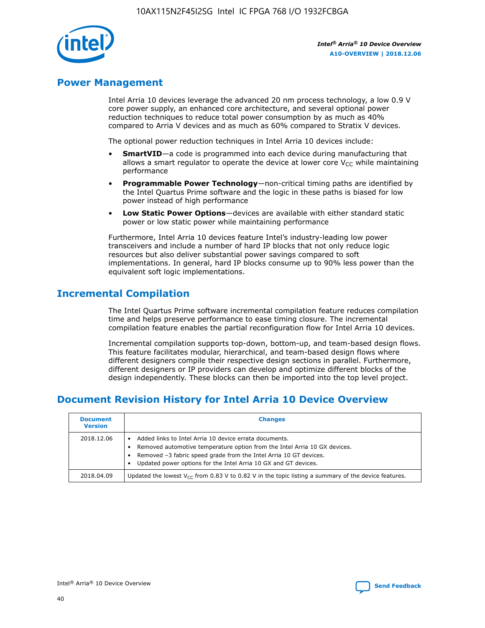

### **Power Management**

Intel Arria 10 devices leverage the advanced 20 nm process technology, a low 0.9 V core power supply, an enhanced core architecture, and several optional power reduction techniques to reduce total power consumption by as much as 40% compared to Arria V devices and as much as 60% compared to Stratix V devices.

The optional power reduction techniques in Intel Arria 10 devices include:

- **SmartVID**—a code is programmed into each device during manufacturing that allows a smart regulator to operate the device at lower core  $V_{CC}$  while maintaining performance
- **Programmable Power Technology**—non-critical timing paths are identified by the Intel Quartus Prime software and the logic in these paths is biased for low power instead of high performance
- **Low Static Power Options**—devices are available with either standard static power or low static power while maintaining performance

Furthermore, Intel Arria 10 devices feature Intel's industry-leading low power transceivers and include a number of hard IP blocks that not only reduce logic resources but also deliver substantial power savings compared to soft implementations. In general, hard IP blocks consume up to 90% less power than the equivalent soft logic implementations.

### **Incremental Compilation**

The Intel Quartus Prime software incremental compilation feature reduces compilation time and helps preserve performance to ease timing closure. The incremental compilation feature enables the partial reconfiguration flow for Intel Arria 10 devices.

Incremental compilation supports top-down, bottom-up, and team-based design flows. This feature facilitates modular, hierarchical, and team-based design flows where different designers compile their respective design sections in parallel. Furthermore, different designers or IP providers can develop and optimize different blocks of the design independently. These blocks can then be imported into the top level project.

### **Document Revision History for Intel Arria 10 Device Overview**

| <b>Document</b><br><b>Version</b> | <b>Changes</b>                                                                                                                                                                                                                                                              |
|-----------------------------------|-----------------------------------------------------------------------------------------------------------------------------------------------------------------------------------------------------------------------------------------------------------------------------|
| 2018.12.06                        | Added links to Intel Arria 10 device errata documents.<br>Removed automotive temperature option from the Intel Arria 10 GX devices.<br>Removed -3 fabric speed grade from the Intel Arria 10 GT devices.<br>Updated power options for the Intel Arria 10 GX and GT devices. |
| 2018.04.09                        | Updated the lowest $V_{CC}$ from 0.83 V to 0.82 V in the topic listing a summary of the device features.                                                                                                                                                                    |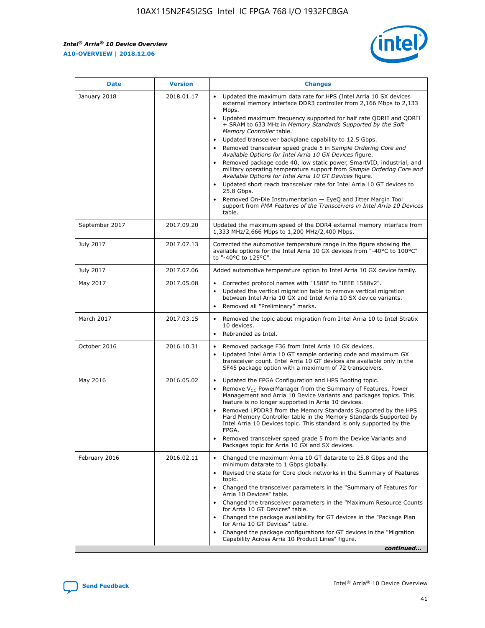*Intel® Arria® 10 Device Overview* **A10-OVERVIEW | 2018.12.06**



| <b>Date</b>    | <b>Version</b> | <b>Changes</b>                                                                                                                                                                                                                                                                                                                                                                                                                                                                                                                                                                                                                                                                                                                                                                                                                                                                                                                                                            |
|----------------|----------------|---------------------------------------------------------------------------------------------------------------------------------------------------------------------------------------------------------------------------------------------------------------------------------------------------------------------------------------------------------------------------------------------------------------------------------------------------------------------------------------------------------------------------------------------------------------------------------------------------------------------------------------------------------------------------------------------------------------------------------------------------------------------------------------------------------------------------------------------------------------------------------------------------------------------------------------------------------------------------|
| January 2018   | 2018.01.17     | Updated the maximum data rate for HPS (Intel Arria 10 SX devices<br>external memory interface DDR3 controller from 2,166 Mbps to 2,133<br>Mbps.<br>Updated maximum frequency supported for half rate QDRII and QDRII<br>+ SRAM to 633 MHz in Memory Standards Supported by the Soft<br>Memory Controller table.<br>Updated transceiver backplane capability to 12.5 Gbps.<br>$\bullet$<br>Removed transceiver speed grade 5 in Sample Ordering Core and<br>Available Options for Intel Arria 10 GX Devices figure.<br>Removed package code 40, low static power, SmartVID, industrial, and<br>military operating temperature support from Sample Ordering Core and<br>Available Options for Intel Arria 10 GT Devices figure.<br>Updated short reach transceiver rate for Intel Arria 10 GT devices to<br>25.8 Gbps.<br>Removed On-Die Instrumentation - EyeQ and Jitter Margin Tool<br>support from PMA Features of the Transceivers in Intel Arria 10 Devices<br>table. |
| September 2017 | 2017.09.20     | Updated the maximum speed of the DDR4 external memory interface from<br>1,333 MHz/2,666 Mbps to 1,200 MHz/2,400 Mbps.                                                                                                                                                                                                                                                                                                                                                                                                                                                                                                                                                                                                                                                                                                                                                                                                                                                     |
| July 2017      | 2017.07.13     | Corrected the automotive temperature range in the figure showing the<br>available options for the Intel Arria 10 GX devices from "-40°C to 100°C"<br>to "-40°C to 125°C".                                                                                                                                                                                                                                                                                                                                                                                                                                                                                                                                                                                                                                                                                                                                                                                                 |
| July 2017      | 2017.07.06     | Added automotive temperature option to Intel Arria 10 GX device family.                                                                                                                                                                                                                                                                                                                                                                                                                                                                                                                                                                                                                                                                                                                                                                                                                                                                                                   |
| May 2017       | 2017.05.08     | Corrected protocol names with "1588" to "IEEE 1588v2".<br>$\bullet$<br>Updated the vertical migration table to remove vertical migration<br>$\bullet$<br>between Intel Arria 10 GX and Intel Arria 10 SX device variants.<br>Removed all "Preliminary" marks.<br>$\bullet$                                                                                                                                                                                                                                                                                                                                                                                                                                                                                                                                                                                                                                                                                                |
| March 2017     | 2017.03.15     | Removed the topic about migration from Intel Arria 10 to Intel Stratix<br>10 devices.<br>Rebranded as Intel.<br>$\bullet$                                                                                                                                                                                                                                                                                                                                                                                                                                                                                                                                                                                                                                                                                                                                                                                                                                                 |
| October 2016   | 2016.10.31     | Removed package F36 from Intel Arria 10 GX devices.<br>Updated Intel Arria 10 GT sample ordering code and maximum GX<br>$\bullet$<br>transceiver count. Intel Arria 10 GT devices are available only in the<br>SF45 package option with a maximum of 72 transceivers.                                                                                                                                                                                                                                                                                                                                                                                                                                                                                                                                                                                                                                                                                                     |
| May 2016       | 2016.05.02     | Updated the FPGA Configuration and HPS Booting topic.<br>$\bullet$<br>Remove V <sub>CC</sub> PowerManager from the Summary of Features, Power<br>Management and Arria 10 Device Variants and packages topics. This<br>feature is no longer supported in Arria 10 devices.<br>Removed LPDDR3 from the Memory Standards Supported by the HPS<br>Hard Memory Controller table in the Memory Standards Supported by<br>Intel Arria 10 Devices topic. This standard is only supported by the<br>FPGA.<br>Removed transceiver speed grade 5 from the Device Variants and<br>Packages topic for Arria 10 GX and SX devices.                                                                                                                                                                                                                                                                                                                                                      |
| February 2016  | 2016.02.11     | Changed the maximum Arria 10 GT datarate to 25.8 Gbps and the<br>minimum datarate to 1 Gbps globally.<br>Revised the state for Core clock networks in the Summary of Features<br>$\bullet$<br>topic.<br>Changed the transceiver parameters in the "Summary of Features for<br>$\bullet$<br>Arria 10 Devices" table.<br>• Changed the transceiver parameters in the "Maximum Resource Counts<br>for Arria 10 GT Devices" table.<br>Changed the package availability for GT devices in the "Package Plan<br>for Arria 10 GT Devices" table.<br>Changed the package configurations for GT devices in the "Migration"<br>Capability Across Arria 10 Product Lines" figure.<br>continued                                                                                                                                                                                                                                                                                       |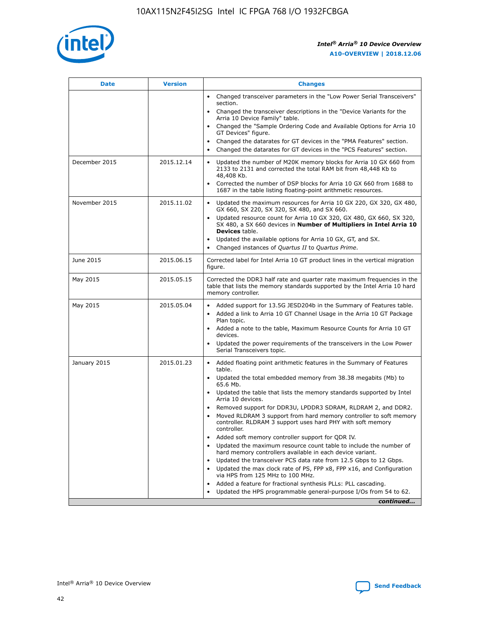

| <b>Date</b>   | <b>Version</b> | <b>Changes</b>                                                                                                                                                               |
|---------------|----------------|------------------------------------------------------------------------------------------------------------------------------------------------------------------------------|
|               |                | Changed transceiver parameters in the "Low Power Serial Transceivers"<br>$\bullet$<br>section.                                                                               |
|               |                | • Changed the transceiver descriptions in the "Device Variants for the<br>Arria 10 Device Family" table.                                                                     |
|               |                | • Changed the "Sample Ordering Code and Available Options for Arria 10<br>GT Devices" figure.                                                                                |
|               |                | Changed the datarates for GT devices in the "PMA Features" section.                                                                                                          |
|               |                | Changed the datarates for GT devices in the "PCS Features" section.<br>$\bullet$                                                                                             |
| December 2015 | 2015.12.14     | Updated the number of M20K memory blocks for Arria 10 GX 660 from<br>2133 to 2131 and corrected the total RAM bit from 48,448 Kb to<br>48,408 Kb.                            |
|               |                | Corrected the number of DSP blocks for Arria 10 GX 660 from 1688 to<br>$\bullet$<br>1687 in the table listing floating-point arithmetic resources.                           |
| November 2015 | 2015.11.02     | Updated the maximum resources for Arria 10 GX 220, GX 320, GX 480,<br>GX 660, SX 220, SX 320, SX 480, and SX 660.                                                            |
|               |                | Updated resource count for Arria 10 GX 320, GX 480, GX 660, SX 320,<br>SX 480, a SX 660 devices in Number of Multipliers in Intel Arria 10<br><b>Devices</b> table.          |
|               |                | Updated the available options for Arria 10 GX, GT, and SX.<br>$\bullet$                                                                                                      |
|               |                | Changed instances of Quartus II to Quartus Prime.<br>$\bullet$                                                                                                               |
| June 2015     | 2015.06.15     | Corrected label for Intel Arria 10 GT product lines in the vertical migration<br>figure.                                                                                     |
| May 2015      | 2015.05.15     | Corrected the DDR3 half rate and quarter rate maximum frequencies in the<br>table that lists the memory standards supported by the Intel Arria 10 hard<br>memory controller. |
| May 2015      | 2015.05.04     | • Added support for 13.5G JESD204b in the Summary of Features table.                                                                                                         |
|               |                | Added a link to Arria 10 GT Channel Usage in the Arria 10 GT Package<br>$\bullet$<br>Plan topic.                                                                             |
|               |                | • Added a note to the table, Maximum Resource Counts for Arria 10 GT<br>devices.                                                                                             |
|               |                | • Updated the power requirements of the transceivers in the Low Power<br>Serial Transceivers topic.                                                                          |
| January 2015  | 2015.01.23     | • Added floating point arithmetic features in the Summary of Features<br>table.                                                                                              |
|               |                | • Updated the total embedded memory from 38.38 megabits (Mb) to<br>65.6 Mb.                                                                                                  |
|               |                | • Updated the table that lists the memory standards supported by Intel<br>Arria 10 devices.                                                                                  |
|               |                | Removed support for DDR3U, LPDDR3 SDRAM, RLDRAM 2, and DDR2.                                                                                                                 |
|               |                | Moved RLDRAM 3 support from hard memory controller to soft memory<br>controller. RLDRAM 3 support uses hard PHY with soft memory<br>controller.                              |
|               |                | Added soft memory controller support for QDR IV.                                                                                                                             |
|               |                | Updated the maximum resource count table to include the number of<br>hard memory controllers available in each device variant.                                               |
|               |                | Updated the transceiver PCS data rate from 12.5 Gbps to 12 Gbps.                                                                                                             |
|               |                | Updated the max clock rate of PS, FPP x8, FPP x16, and Configuration<br>via HPS from 125 MHz to 100 MHz.                                                                     |
|               |                | Added a feature for fractional synthesis PLLs: PLL cascading.                                                                                                                |
|               |                | Updated the HPS programmable general-purpose I/Os from 54 to 62.<br>$\bullet$                                                                                                |
|               |                | continued                                                                                                                                                                    |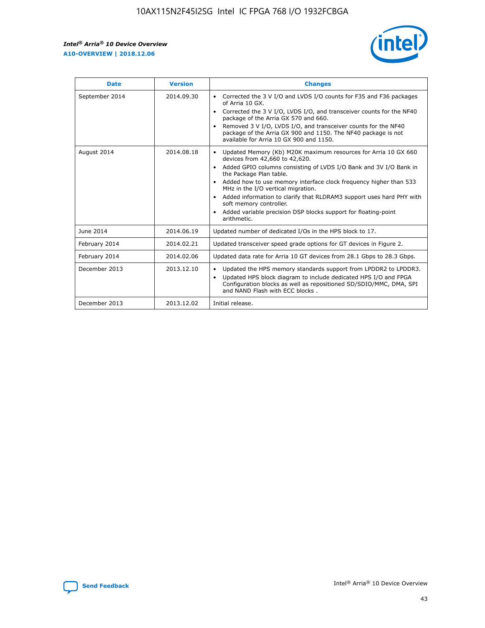r



| <b>Date</b>    | <b>Version</b> | <b>Changes</b>                                                                                                                                                                                                                                                                                                                                                                                                                                                                                                                                      |
|----------------|----------------|-----------------------------------------------------------------------------------------------------------------------------------------------------------------------------------------------------------------------------------------------------------------------------------------------------------------------------------------------------------------------------------------------------------------------------------------------------------------------------------------------------------------------------------------------------|
| September 2014 | 2014.09.30     | Corrected the 3 V I/O and LVDS I/O counts for F35 and F36 packages<br>$\bullet$<br>of Arria 10 GX.<br>Corrected the 3 V I/O, LVDS I/O, and transceiver counts for the NF40<br>$\bullet$<br>package of the Arria GX 570 and 660.<br>Removed 3 V I/O, LVDS I/O, and transceiver counts for the NF40<br>package of the Arria GX 900 and 1150. The NF40 package is not<br>available for Arria 10 GX 900 and 1150.                                                                                                                                       |
| August 2014    | 2014.08.18     | Updated Memory (Kb) M20K maximum resources for Arria 10 GX 660<br>devices from 42,660 to 42,620.<br>Added GPIO columns consisting of LVDS I/O Bank and 3V I/O Bank in<br>$\bullet$<br>the Package Plan table.<br>Added how to use memory interface clock frequency higher than 533<br>$\bullet$<br>MHz in the I/O vertical migration.<br>Added information to clarify that RLDRAM3 support uses hard PHY with<br>$\bullet$<br>soft memory controller.<br>Added variable precision DSP blocks support for floating-point<br>$\bullet$<br>arithmetic. |
| June 2014      | 2014.06.19     | Updated number of dedicated I/Os in the HPS block to 17.                                                                                                                                                                                                                                                                                                                                                                                                                                                                                            |
| February 2014  | 2014.02.21     | Updated transceiver speed grade options for GT devices in Figure 2.                                                                                                                                                                                                                                                                                                                                                                                                                                                                                 |
| February 2014  | 2014.02.06     | Updated data rate for Arria 10 GT devices from 28.1 Gbps to 28.3 Gbps.                                                                                                                                                                                                                                                                                                                                                                                                                                                                              |
| December 2013  | 2013.12.10     | Updated the HPS memory standards support from LPDDR2 to LPDDR3.<br>Updated HPS block diagram to include dedicated HPS I/O and FPGA<br>$\bullet$<br>Configuration blocks as well as repositioned SD/SDIO/MMC, DMA, SPI<br>and NAND Flash with ECC blocks.                                                                                                                                                                                                                                                                                            |
| December 2013  | 2013.12.02     | Initial release.                                                                                                                                                                                                                                                                                                                                                                                                                                                                                                                                    |